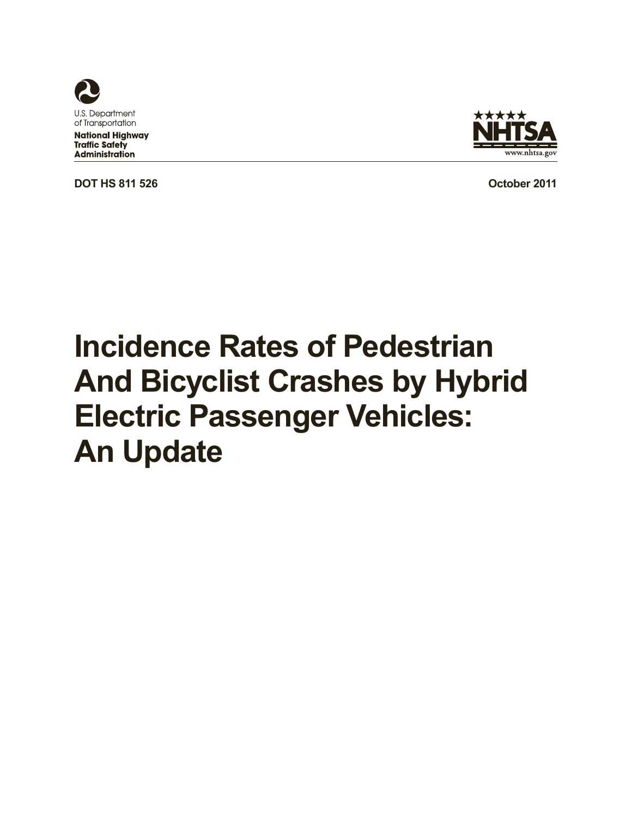

**National Highway Traffic Safety Administration** 

**DOT HS 811 526 October 2011** 



# **Incidence Rates of Pedestrian And Bicyclist Crashes by Hybrid Electric Passenger Vehicles: An Update**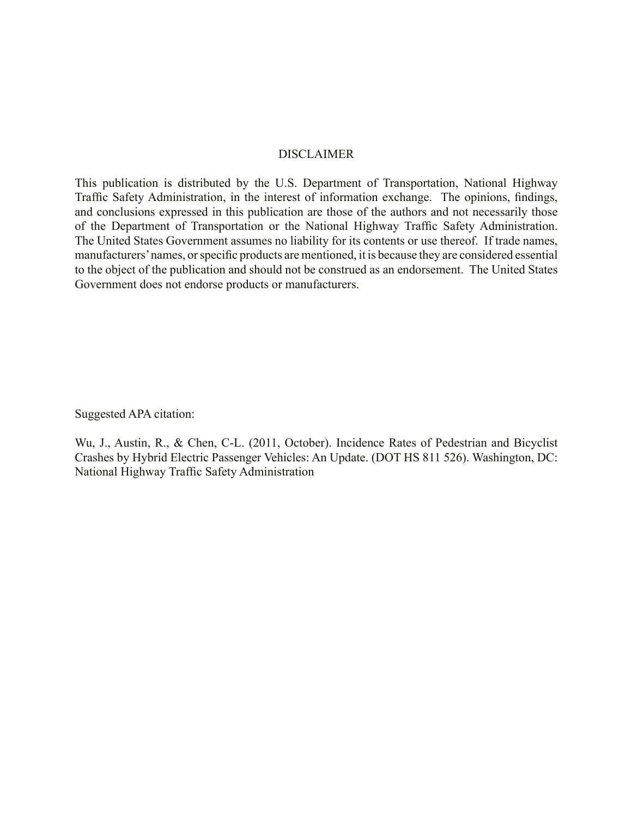#### DISCLAIMER

This publication is distributed by the U.S. Department of Transportation, National Highway Traffic Safety Administration, in the interest of information exchange. The opinions, findings, and conclusions expressed in this publication are those of the authors and not necessarily those of the Department of Transportation or the National Highway Traffic Safety Administration. The United States Government assumes no liability for its contents or use thereof. If trade names, manufacturers' names, or specific products are mentioned, it is because they are considered essential to the object of the publication and should not be construed as an endorsement. The United States Government does not endorse products or manufacturers.

Suggested APA citation:

Wu, J., Austin, R., & Chen, C-L. (2011, October). Incidence Rates of Pedestrian and Bicyclist Crashes by Hybrid Electric Passenger Vehicles: An Update. (DOT HS 811 526). Washington, DC: National Highway Traffic Safety Administration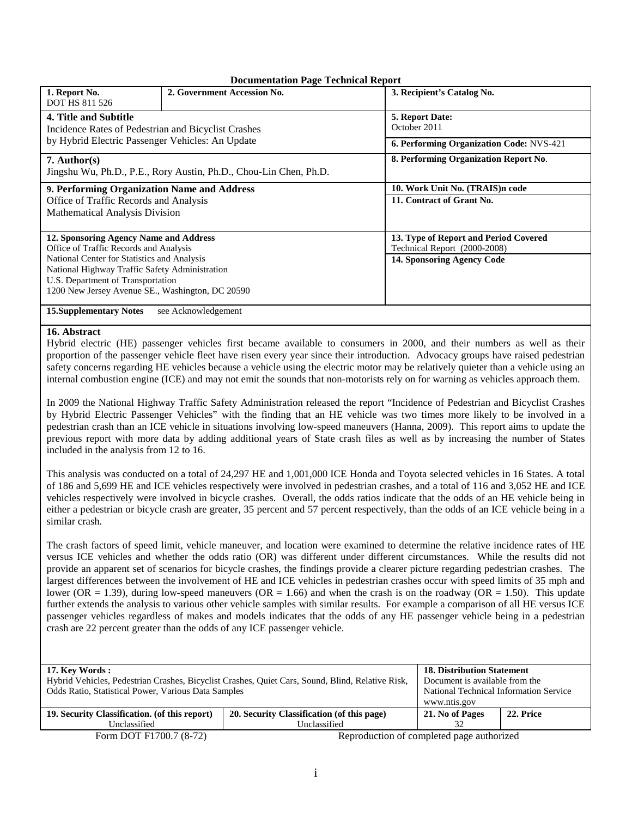|                                                     | Documentation I age Technical Keport<br>2. Government Accession No. | 3. Recipient's Catalog No.               |
|-----------------------------------------------------|---------------------------------------------------------------------|------------------------------------------|
| 1. Report No.                                       |                                                                     |                                          |
| <b>DOT HS 811 526</b>                               |                                                                     |                                          |
| 4. Title and Subtitle                               |                                                                     | 5. Report Date:                          |
| Incidence Rates of Pedestrian and Bicyclist Crashes |                                                                     | October 2011                             |
|                                                     |                                                                     |                                          |
| by Hybrid Electric Passenger Vehicles: An Update    |                                                                     | 6. Performing Organization Code: NVS-421 |
| $7.$ Author(s)                                      |                                                                     | 8. Performing Organization Report No.    |
|                                                     | Jingshu Wu, Ph.D., P.E., Rory Austin, Ph.D., Chou-Lin Chen, Ph.D.   |                                          |
| 9. Performing Organization Name and Address         |                                                                     | 10. Work Unit No. (TRAIS)n code          |
| Office of Traffic Records and Analysis              |                                                                     | 11. Contract of Grant No.                |
| Mathematical Analysis Division                      |                                                                     |                                          |
|                                                     |                                                                     |                                          |
| 12. Sponsoring Agency Name and Address              |                                                                     | 13. Type of Report and Period Covered    |
| Office of Traffic Records and Analysis              |                                                                     | Technical Report (2000-2008)             |
| National Center for Statistics and Analysis         |                                                                     | 14. Sponsoring Agency Code               |
| National Highway Traffic Safety Administration      |                                                                     |                                          |
| U.S. Department of Transportation                   |                                                                     |                                          |
| 1200 New Jersey Avenue SE., Washington, DC 20590    |                                                                     |                                          |
|                                                     |                                                                     |                                          |
| <b>15. Supplementary Notes</b>                      | see Acknowledgement                                                 |                                          |

#### **Documentation Page Technical Report**

#### **16. Abstract**

Hybrid electric (HE) passenger vehicles first became available to consumers in 2000, and their numbers as well as their proportion of the passenger vehicle fleet have risen every year since their introduction. Advocacy groups have raised pedestrian safety concerns regarding HE vehicles because a vehicle using the electric motor may be relatively quieter than a vehicle using an internal combustion engine (ICE) and may not emit the sounds that non-motorists rely on for warning as vehicles approach them.

In 2009 the National Highway Traffic Safety Administration released the report "Incidence of Pedestrian and Bicyclist Crashes by Hybrid Electric Passenger Vehicles" with the finding that an HE vehicle was two times more likely to be involved in a pedestrian crash than an ICE vehicle in situations involving low-speed maneuvers (Hanna, 2009). This report aims to update the previous report with more data by adding additional years of State crash files as well as by increasing the number of States included in the analysis from 12 to 16.

This analysis was conducted on a total of 24,297 HE and 1,001,000 ICE Honda and Toyota selected vehicles in 16 States. A total of 186 and 5,699 HE and ICE vehicles respectively were involved in pedestrian crashes, and a total of 116 and 3,052 HE and ICE vehicles respectively were involved in bicycle crashes. Overall, the odds ratios indicate that the odds of an HE vehicle being in either a pedestrian or bicycle crash are greater, 35 percent and 57 percent respectively, than the odds of an ICE vehicle being in a similar crash.

The crash factors of speed limit, vehicle maneuver, and location were examined to determine the relative incidence rates of HE versus ICE vehicles and whether the odds ratio (OR) was different under different circumstances. While the results did not provide an apparent set of scenarios for bicycle crashes, the findings provide a clearer picture regarding pedestrian crashes. The largest differences between the involvement of HE and ICE vehicles in pedestrian crashes occur with speed limits of 35 mph and lower (OR = 1.39), during low-speed maneuvers (OR = 1.66) and when the crash is on the roadway (OR = 1.50). This update further extends the analysis to various other vehicle samples with similar results. For example a comparison of all HE versus ICE passenger vehicles regardless of makes and models indicates that the odds of any HE passenger vehicle being in a pedestrian crash are 22 percent greater than the odds of any ICE passenger vehicle.

| 17. Key Words:                                                                                   | <b>18. Distribution Statement</b>          |                         |           |
|--------------------------------------------------------------------------------------------------|--------------------------------------------|-------------------------|-----------|
| Hybrid Vehicles, Pedestrian Crashes, Bicyclist Crashes, Quiet Cars, Sound, Blind, Relative Risk, | Document is available from the             |                         |           |
| <b>Odds Ratio, Statistical Power, Various Data Samples</b>                                       | National Technical Information Service     |                         |           |
|                                                                                                  |                                            | www.ntis.gov            |           |
| 19. Security Classification. (of this report)                                                    | 20. Security Classification (of this page) | 21. No of Pages         | 22. Price |
| Unclassified                                                                                     | Unclassified                               |                         |           |
|                                                                                                  |                                            | $P = 1$ $P = 1.1$ $1.1$ |           |

Form DOT F1700.7 (8-72) Reproduction of completed page authorized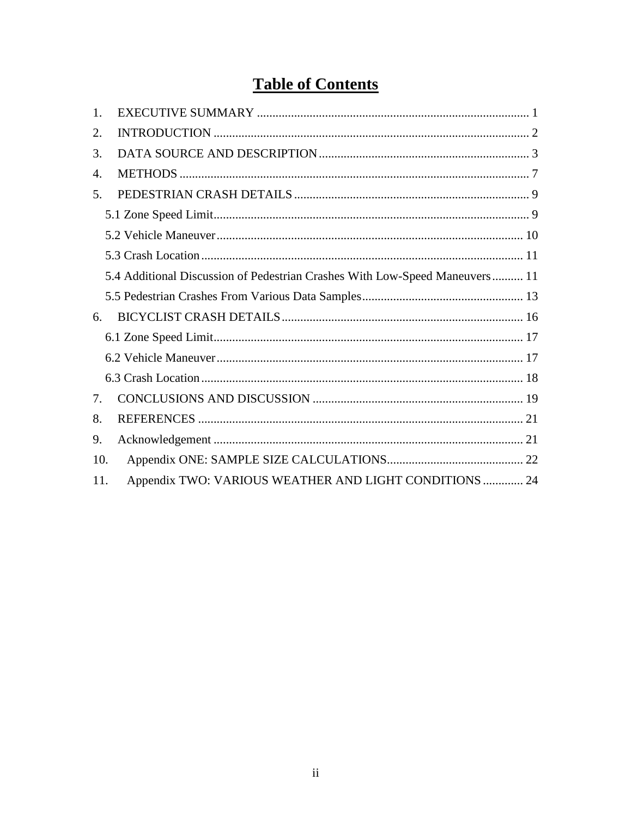# **Table of Contents**

| 1.  |                                                                             |
|-----|-----------------------------------------------------------------------------|
| 2.  |                                                                             |
| 3.  |                                                                             |
| 4.  |                                                                             |
| 5.  |                                                                             |
|     |                                                                             |
|     |                                                                             |
|     |                                                                             |
|     | 5.4 Additional Discussion of Pedestrian Crashes With Low-Speed Maneuvers 11 |
|     |                                                                             |
| 6.  |                                                                             |
|     |                                                                             |
|     |                                                                             |
|     |                                                                             |
| 7.  |                                                                             |
| 8.  |                                                                             |
| 9.  |                                                                             |
| 10. |                                                                             |
| 11. | Appendix TWO: VARIOUS WEATHER AND LIGHT CONDITIONS  24                      |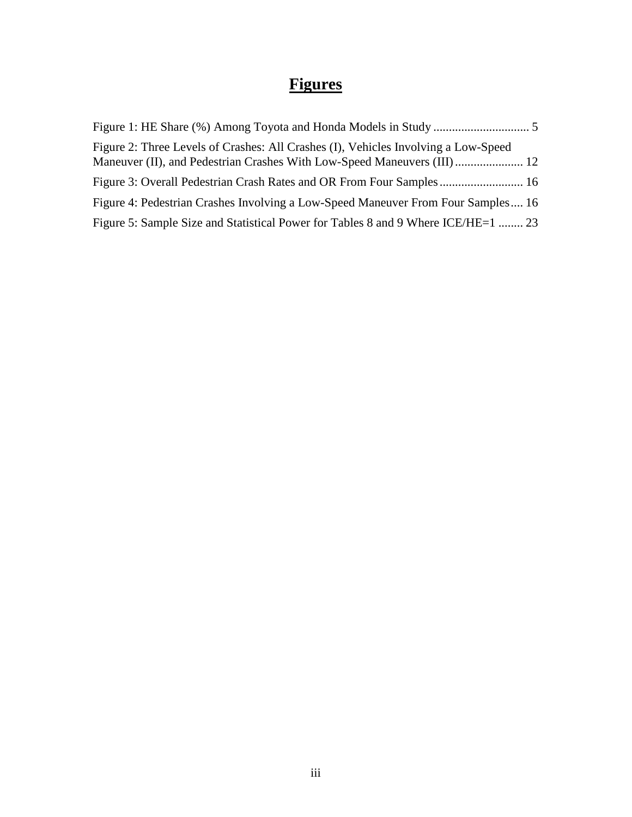# **Figures**

| Figure 2: Three Levels of Crashes: All Crashes (I), Vehicles Involving a Low-Speed |  |
|------------------------------------------------------------------------------------|--|
| Figure 3: Overall Pedestrian Crash Rates and OR From Four Samples  16              |  |
| Figure 4: Pedestrian Crashes Involving a Low-Speed Maneuver From Four Samples 16   |  |
| Figure 5: Sample Size and Statistical Power for Tables 8 and 9 Where ICE/HE=1  23  |  |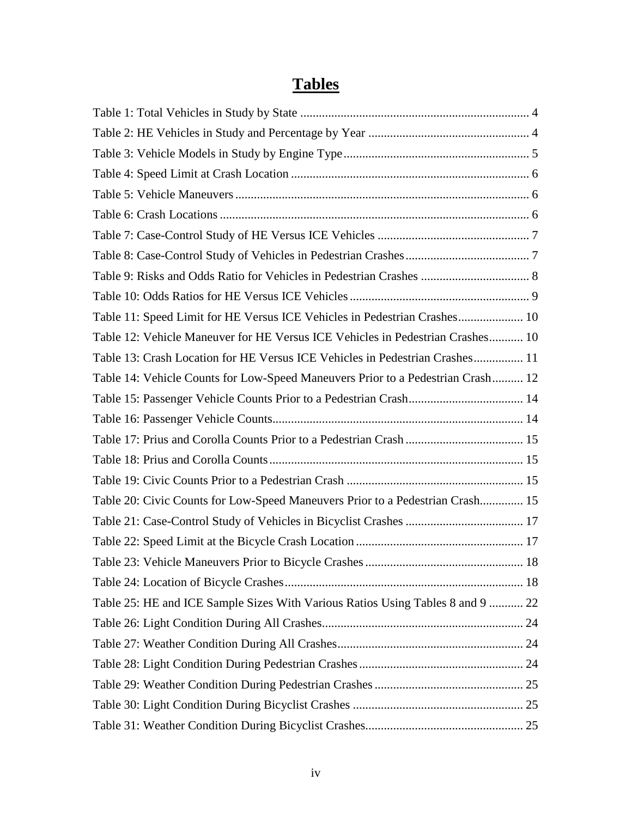# **Tables**

| Table 11: Speed Limit for HE Versus ICE Vehicles in Pedestrian Crashes 10       |  |
|---------------------------------------------------------------------------------|--|
| Table 12: Vehicle Maneuver for HE Versus ICE Vehicles in Pedestrian Crashes 10  |  |
| Table 13: Crash Location for HE Versus ICE Vehicles in Pedestrian Crashes 11    |  |
| Table 14: Vehicle Counts for Low-Speed Maneuvers Prior to a Pedestrian Crash 12 |  |
|                                                                                 |  |
|                                                                                 |  |
|                                                                                 |  |
|                                                                                 |  |
|                                                                                 |  |
| Table 20: Civic Counts for Low-Speed Maneuvers Prior to a Pedestrian Crash 15   |  |
|                                                                                 |  |
|                                                                                 |  |
|                                                                                 |  |
|                                                                                 |  |
| Table 25: HE and ICE Sample Sizes With Various Ratios Using Tables 8 and 9  22  |  |
|                                                                                 |  |
|                                                                                 |  |
|                                                                                 |  |
|                                                                                 |  |
|                                                                                 |  |
|                                                                                 |  |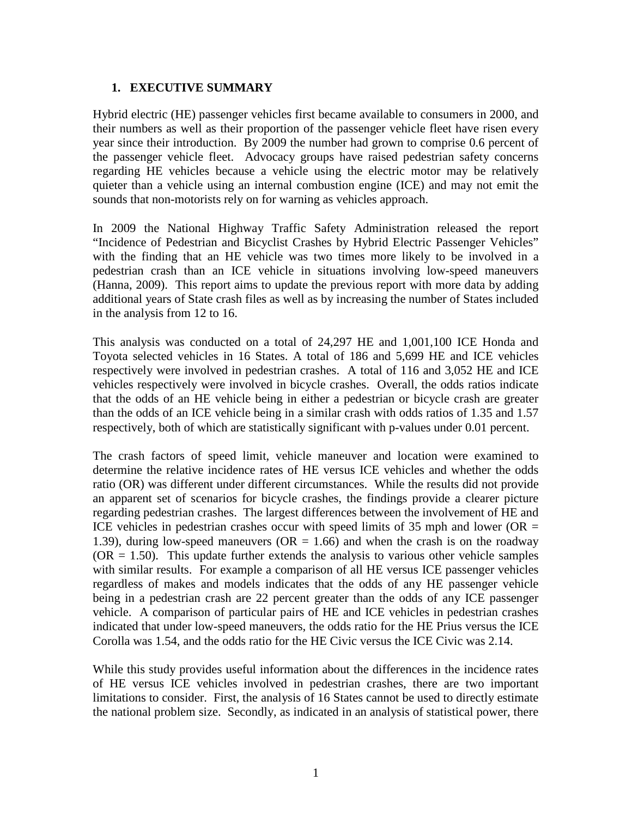#### <span id="page-6-0"></span>**1. EXECUTIVE SUMMARY**

Hybrid electric (HE) passenger vehicles first became available to consumers in 2000, and their numbers as well as their proportion of the passenger vehicle fleet have risen every year since their introduction. By 2009 the number had grown to comprise 0.6 percent of the passenger vehicle fleet. Advocacy groups have raised pedestrian safety concerns regarding HE vehicles because a vehicle using the electric motor may be relatively quieter than a vehicle using an internal combustion engine (ICE) and may not emit the sounds that non-motorists rely on for warning as vehicles approach.

In 2009 the National Highway Traffic Safety Administration released the report "Incidence of Pedestrian and Bicyclist Crashes by Hybrid Electric Passenger Vehicles" with the finding that an HE vehicle was two times more likely to be involved in a pedestrian crash than an ICE vehicle in situations involving low-speed maneuvers (Hanna, 2009). This report aims to update the previous report with more data by adding additional years of State crash files as well as by increasing the number of States included in the analysis from 12 to 16.

This analysis was conducted on a total of 24,297 HE and 1,001,100 ICE Honda and Toyota selected vehicles in 16 States. A total of 186 and 5,699 HE and ICE vehicles respectively were involved in pedestrian crashes. A total of 116 and 3,052 HE and ICE vehicles respectively were involved in bicycle crashes. Overall, the odds ratios indicate that the odds of an HE vehicle being in either a pedestrian or bicycle crash are greater than the odds of an ICE vehicle being in a similar crash with odds ratios of 1.35 and 1.57 respectively, both of which are statistically significant with p-values under 0.01 percent.

The crash factors of speed limit, vehicle maneuver and location were examined to determine the relative incidence rates of HE versus ICE vehicles and whether the odds ratio (OR) was different under different circumstances. While the results did not provide an apparent set of scenarios for bicycle crashes, the findings provide a clearer picture regarding pedestrian crashes. The largest differences between the involvement of HE and ICE vehicles in pedestrian crashes occur with speed limits of 35 mph and lower ( $OR =$ 1.39), during low-speed maneuvers ( $OR = 1.66$ ) and when the crash is on the roadway  $(OR = 1.50)$ . This update further extends the analysis to various other vehicle samples with similar results. For example a comparison of all HE versus ICE passenger vehicles regardless of makes and models indicates that the odds of any HE passenger vehicle being in a pedestrian crash are 22 percent greater than the odds of any ICE passenger vehicle. A comparison of particular pairs of HE and ICE vehicles in pedestrian crashes indicated that under low-speed maneuvers, the odds ratio for the HE Prius versus the ICE Corolla was 1.54, and the odds ratio for the HE Civic versus the ICE Civic was 2.14.

While this study provides useful information about the differences in the incidence rates of HE versus ICE vehicles involved in pedestrian crashes, there are two important limitations to consider. First, the analysis of 16 States cannot be used to directly estimate the national problem size. Secondly, as indicated in an analysis of statistical power, there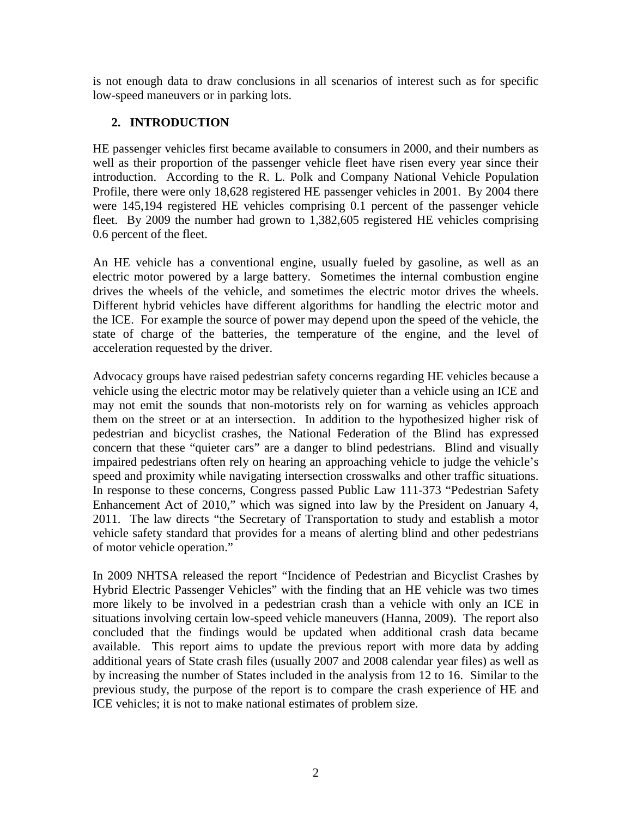is not enough data to draw conclusions in all scenarios of interest such as for specific low-speed maneuvers or in parking lots.

#### <span id="page-7-0"></span>**2. INTRODUCTION**

HE passenger vehicles first became available to consumers in 2000, and their numbers as well as their proportion of the passenger vehicle fleet have risen every year since their introduction. According to the R. L. Polk and Company National Vehicle Population Profile, there were only 18,628 registered HE passenger vehicles in 2001. By 2004 there were 145,194 registered HE vehicles comprising 0.1 percent of the passenger vehicle fleet. By 2009 the number had grown to 1,382,605 registered HE vehicles comprising 0.6 percent of the fleet.

An HE vehicle has a conventional engine, usually fueled by gasoline, as well as an electric motor powered by a large battery. Sometimes the internal combustion engine drives the wheels of the vehicle, and sometimes the electric motor drives the wheels. Different hybrid vehicles have different algorithms for handling the electric motor and the ICE. For example the source of power may depend upon the speed of the vehicle, the state of charge of the batteries, the temperature of the engine, and the level of acceleration requested by the driver.

Advocacy groups have raised pedestrian safety concerns regarding HE vehicles because a vehicle using the electric motor may be relatively quieter than a vehicle using an ICE and may not emit the sounds that non-motorists rely on for warning as vehicles approach them on the street or at an intersection. In addition to the hypothesized higher risk of pedestrian and bicyclist crashes, the National Federation of the Blind has expressed concern that these "quieter cars" are a danger to blind pedestrians. Blind and visually impaired pedestrians often rely on hearing an approaching vehicle to judge the vehicle's speed and proximity while navigating intersection crosswalks and other traffic situations. In response to these concerns, Congress passed Public Law 111-373 "Pedestrian Safety Enhancement Act of 2010," which was signed into law by the President on January 4, 2011. The law directs "the Secretary of Transportation to study and establish a motor vehicle safety standard that provides for a means of alerting blind and other pedestrians of motor vehicle operation."

In 2009 NHTSA released the report "Incidence of Pedestrian and Bicyclist Crashes by Hybrid Electric Passenger Vehicles" with the finding that an HE vehicle was two times more likely to be involved in a pedestrian crash than a vehicle with only an ICE in situations involving certain low-speed vehicle maneuvers (Hanna, 2009). The report also concluded that the findings would be updated when additional crash data became available. This report aims to update the previous report with more data by adding additional years of State crash files (usually 2007 and 2008 calendar year files) as well as by increasing the number of States included in the analysis from 12 to 16. Similar to the previous study, the purpose of the report is to compare the crash experience of HE and ICE vehicles; it is not to make national estimates of problem size.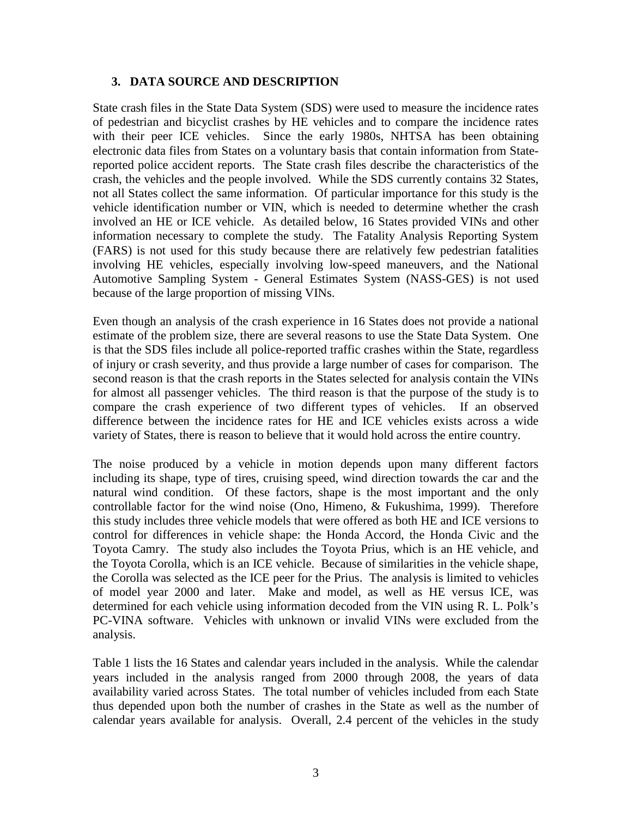#### <span id="page-8-0"></span>**3. DATA SOURCE AND DESCRIPTION**

State crash files in the State Data System (SDS) were used to measure the incidence rates of pedestrian and bicyclist crashes by HE vehicles and to compare the incidence rates with their peer ICE vehicles. Since the early 1980s, NHTSA has been obtaining electronic data files from States on a voluntary basis that contain information from Statereported police accident reports. The State crash files describe the characteristics of the crash, the vehicles and the people involved. While the SDS currently contains 32 States, not all States collect the same information. Of particular importance for this study is the vehicle identification number or VIN, which is needed to determine whether the crash involved an HE or ICE vehicle. As detailed below, 16 States provided VINs and other information necessary to complete the study. The Fatality Analysis Reporting System (FARS) is not used for this study because there are relatively few pedestrian fatalities involving HE vehicles, especially involving low-speed maneuvers, and the National Automotive Sampling System - General Estimates System (NASS-GES) is not used because of the large proportion of missing VINs.

Even though an analysis of the crash experience in 16 States does not provide a national estimate of the problem size, there are several reasons to use the State Data System. One is that the SDS files include all police-reported traffic crashes within the State, regardless of injury or crash severity, and thus provide a large number of cases for comparison. The second reason is that the crash reports in the States selected for analysis contain the VINs for almost all passenger vehicles. The third reason is that the purpose of the study is to compare the crash experience of two different types of vehicles. If an observed difference between the incidence rates for HE and ICE vehicles exists across a wide variety of States, there is reason to believe that it would hold across the entire country.

The noise produced by a vehicle in motion depends upon many different factors including its shape, type of tires, cruising speed, wind direction towards the car and the natural wind condition. Of these factors, shape is the most important and the only controllable factor for the wind noise (Ono, Himeno, & Fukushima, 1999). Therefore this study includes three vehicle models that were offered as both HE and ICE versions to control for differences in vehicle shape: the Honda Accord, the Honda Civic and the Toyota Camry. The study also includes the Toyota Prius, which is an HE vehicle, and the Toyota Corolla, which is an ICE vehicle. Because of similarities in the vehicle shape, the Corolla was selected as the ICE peer for the Prius. The analysis is limited to vehicles of model year 2000 and later. Make and model, as well as HE versus ICE, was determined for each vehicle using information decoded from the VIN using R. L. Polk's PC-VINA software. Vehicles with unknown or invalid VINs were excluded from the analysis.

Table 1 lists the 16 States and calendar years included in the analysis. While the calendar years included in the analysis ranged from 2000 through 2008, the years of data availability varied across States. The total number of vehicles included from each State thus depended upon both the number of crashes in the State as well as the number of calendar years available for analysis. Overall, 2.4 percent of the vehicles in the study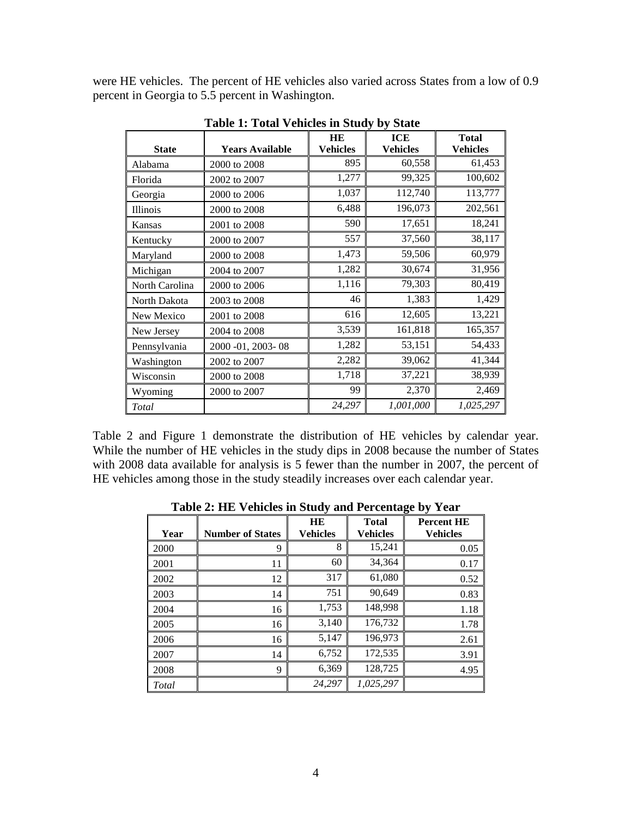were HE vehicles. The percent of HE vehicles also varied across States from a low of 0.9 percent in Georgia to 5.5 percent in Washington.

<span id="page-9-0"></span>

|                |                        | <b>HE</b>       | ICE             | <b>Total</b>    |
|----------------|------------------------|-----------------|-----------------|-----------------|
| <b>State</b>   | <b>Years Available</b> | <b>Vehicles</b> | <b>Vehicles</b> | <b>Vehicles</b> |
| Alabama        | 2000 to 2008           | 895             | 60,558          | 61,453          |
| Florida        | 2002 to 2007           | 1,277           | 99,325          | 100,602         |
| Georgia        | 2000 to 2006           | 1,037           | 112,740         | 113,777         |
| Illinois       | 2000 to 2008           | 6,488           | 196,073         | 202,561         |
| Kansas         | 2001 to 2008           | 590             | 17,651          | 18,241          |
| Kentucky       | 2000 to 2007           | 557             | 37,560          | 38,117          |
| Maryland       | 2000 to 2008           | 1,473           | 59,506          | 60,979          |
| Michigan       | 2004 to 2007           | 1,282           | 30,674          | 31,956          |
| North Carolina | 2000 to 2006           | 1,116           | 79,303          | 80,419          |
| North Dakota   | 2003 to 2008           | 46              | 1,383           | 1,429           |
| New Mexico     | 2001 to 2008           | 616             | 12,605          | 13,221          |
| New Jersey     | 2004 to 2008           | 3,539           | 161,818         | 165,357         |
| Pennsylvania   | 2000 -01, 2003 - 08    | 1,282           | 53,151          | 54,433          |
| Washington     | 2002 to 2007           | 2,282           | 39,062          | 41,344          |
| Wisconsin      | 2000 to 2008           | 1,718           | 37,221          | 38,939          |
| Wyoming        | 2000 to 2007           | 99              | 2,370           | 2,469           |
| Total          |                        | 24,297          | 1,001,000       | 1,025,297       |

**Table 1: Total Vehicles in Study by State** 

Table 2 and Figure 1 demonstrate the distribution of HE vehicles by calendar year. While the number of HE vehicles in the study dips in 2008 because the number of States with 2008 data available for analysis is 5 fewer than the number in 2007, the percent of HE vehicles among those in the study steadily increases over each calendar year.

<span id="page-9-1"></span>

|       |                         | $\mathbf{\sigma}$     |                          |                                      |  |  |
|-------|-------------------------|-----------------------|--------------------------|--------------------------------------|--|--|
| Year  | <b>Number of States</b> | HE<br><b>Vehicles</b> | <b>Total</b><br>Vehicles | <b>Percent HE</b><br><b>Vehicles</b> |  |  |
| 2000  | 9                       | 8                     | 15,241                   | 0.05                                 |  |  |
| 2001  | 11                      | 60                    | 34,364                   | 0.17                                 |  |  |
| 2002  | 12                      | 317                   | 61,080                   | 0.52                                 |  |  |
| 2003  | 14                      | 751                   | 90,649                   | 0.83                                 |  |  |
| 2004  | 16                      | 1,753                 | 148,998                  | 1.18                                 |  |  |
| 2005  | 16                      | 3,140                 | 176,732                  | 1.78                                 |  |  |
| 2006  | 16                      | 5,147                 | 196,973                  | 2.61                                 |  |  |
| 2007  | 14                      | 6,752                 | 172,535                  | 3.91                                 |  |  |
| 2008  | 9                       | 6,369                 | 128,725                  | 4.95                                 |  |  |
| Total |                         | 24.297                | 1,025,297                |                                      |  |  |

**Table 2: HE Vehicles in Study and Percentage by Year**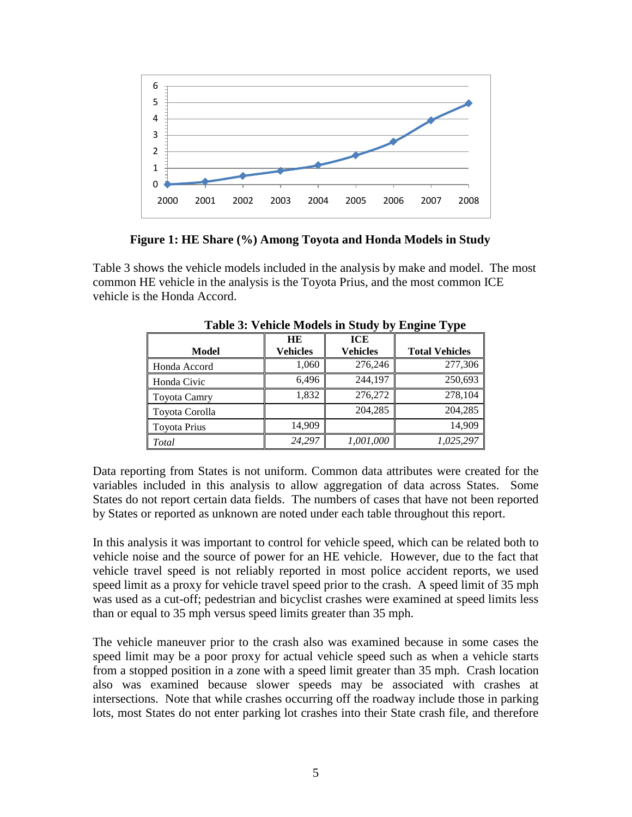

**Figure 1: HE Share (%) Among Toyota and Honda Models in Study**

<span id="page-10-0"></span>Table 3 shows the vehicle models included in the analysis by make and model. The most common HE vehicle in the analysis is the Toyota Prius, and the most common ICE vehicle is the Honda Accord.

|                     | HE              | <b>ICE</b>      |                       |
|---------------------|-----------------|-----------------|-----------------------|
| <b>Model</b>        | <b>Vehicles</b> | <b>Vehicles</b> | <b>Total Vehicles</b> |
| Honda Accord        | 1,060           | 276,246         | 277,306               |
| Honda Civic         | 6,496           | 244,197         | 250,693               |
| Toyota Camry        | 1,832           | 276,272         | 278,104               |
| Toyota Corolla      |                 | 204,285         | 204,285               |
| <b>Toyota Prius</b> | 14,909          |                 | 14.909                |
| <b>Total</b>        | 24.297          | 1,001,000       | 1,025,297             |

<span id="page-10-1"></span> **Table 3: Vehicle Models in Study by Engine Type**

Data reporting from States is not uniform. Common data attributes were created for the variables included in this analysis to allow aggregation of data across States. Some States do not report certain data fields. The numbers of cases that have not been reported by States or reported as unknown are noted under each table throughout this report.

In this analysis it was important to control for vehicle speed, which can be related both to vehicle noise and the source of power for an HE vehicle. However, due to the fact that vehicle travel speed is not reliably reported in most police accident reports, we used speed limit as a proxy for vehicle travel speed prior to the crash. A speed limit of 35 mph was used as a cut-off; pedestrian and bicyclist crashes were examined at speed limits less than or equal to 35 mph versus speed limits greater than 35 mph.

The vehicle maneuver prior to the crash also was examined because in some cases the speed limit may be a poor proxy for actual vehicle speed such as when a vehicle starts from a stopped position in a zone with a speed limit greater than 35 mph. Crash location also was examined because slower speeds may be associated with crashes at intersections. Note that while crashes occurring off the roadway include those in parking lots, most States do not enter parking lot crashes into their State crash file, and therefore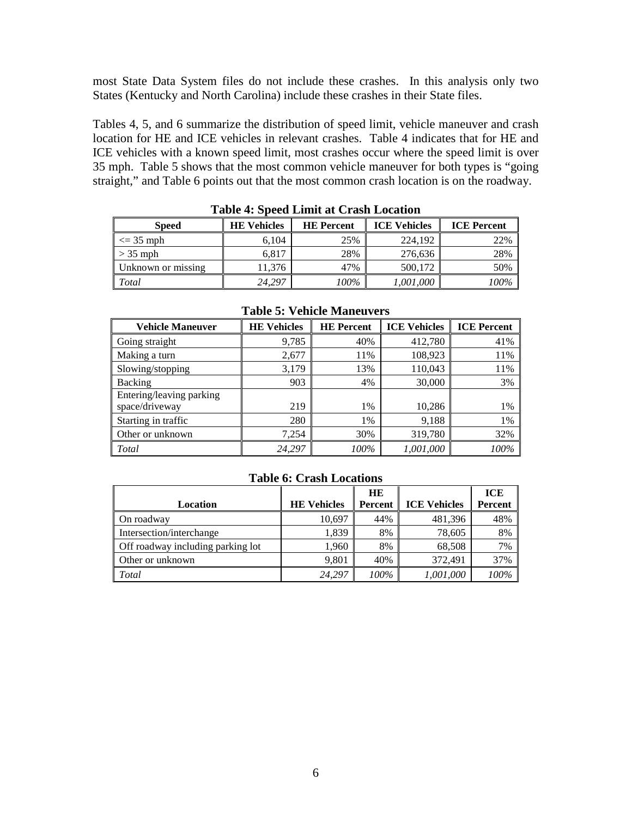most State Data System files do not include these crashes. In this analysis only two States (Kentucky and North Carolina) include these crashes in their State files.

Tables 4, 5, and 6 summarize the distribution of speed limit, vehicle maneuver and crash location for HE and ICE vehicles in relevant crashes. Table 4 indicates that for HE and ICE vehicles with a known speed limit, most crashes occur where the speed limit is over 35 mph. Table 5 shows that the most common vehicle maneuver for both types is "going straight," and Table 6 points out that the most common crash location is on the roadway.

<span id="page-11-0"></span>

| <b>Speed</b>       | <b>HE Vehicles</b> | <b>HE</b> Percent | <b>ICE Vehicles</b> | <b>ICE</b> Percent |
|--------------------|--------------------|-------------------|---------------------|--------------------|
| $\leq$ 35 mph      | 6.104              | 25%               | 224.192             | 22%                |
| $>$ 35 mph         | 6,817              | 28%               | 276,636             | 28%                |
| Unknown or missing | 11.376             | 47%               | 500,172             | 50%                |
| Total              | 24.297             | 100%              | 1,001,000           | 100%               |

**Table 4: Speed Limit at Crash Location** 

<span id="page-11-1"></span>

| <b>Vehicle Maneuver</b>                    | <b>HE Vehicles</b> | <b>HE</b> Percent | <b>ICE Vehicles</b> | <b>ICE Percent</b> |  |  |
|--------------------------------------------|--------------------|-------------------|---------------------|--------------------|--|--|
| Going straight                             | 9,785              | 40%               | 412,780             | 41%                |  |  |
| Making a turn                              | 2,677              | 11%               | 108,923             | 11%                |  |  |
| Slowing/stopping                           | 3,179              | 13%               | 110,043             | 11%                |  |  |
| Backing                                    | 903                | 4%                | 30,000              | 3%                 |  |  |
| Entering/leaving parking<br>space/driveway | 219                | 1%                | 10,286              | 1%                 |  |  |
| Starting in traffic                        | 280                | 1%                | 9,188               | 1%                 |  |  |
| Other or unknown                           | 7,254              | 30%               | 319,780             | 32%                |  |  |
| Total                                      | 24,297             | 100%              | 1,001,000           | 100%               |  |  |

#### **Table 5: Vehicle Maneuvers**

#### **Table 6: Crash Locations**

<span id="page-11-2"></span>

|                                   |                    | <b>HE</b> |                     | <b>ICE</b> |
|-----------------------------------|--------------------|-----------|---------------------|------------|
| Location                          | <b>HE Vehicles</b> | Percent   | <b>ICE Vehicles</b> | Percent    |
| On roadway                        | 10,697             | 44%       | 481,396             | 48%        |
| Intersection/interchange          | 1,839              | 8%        | 78,605              | 8%         |
| Off roadway including parking lot | 1,960              | 8%        | 68,508              | 7%         |
| Other or unknown                  | 9,801              | 40%       | 372.491             | 37%        |
| Total                             | 24,297             | 100%      | 1,001,000           | 100%       |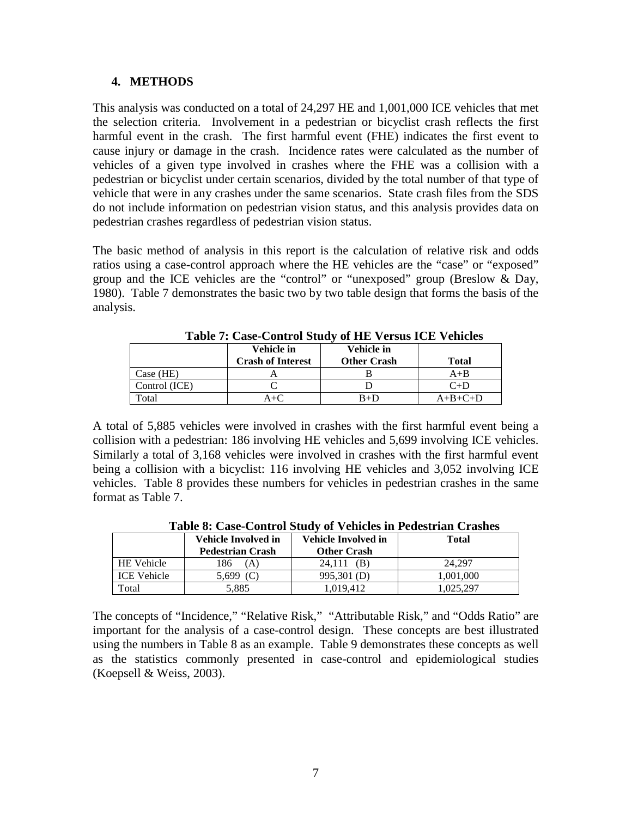#### <span id="page-12-0"></span>**4. METHODS**

This analysis was conducted on a total of 24,297 HE and 1,001,000 ICE vehicles that met the selection criteria. Involvement in a pedestrian or bicyclist crash reflects the first harmful event in the crash. The first harmful event (FHE) indicates the first event to cause injury or damage in the crash. Incidence rates were calculated as the number of vehicles of a given type involved in crashes where the FHE was a collision with a pedestrian or bicyclist under certain scenarios, divided by the total number of that type of vehicle that were in any crashes under the same scenarios. State crash files from the SDS do not include information on pedestrian vision status, and this analysis provides data on pedestrian crashes regardless of pedestrian vision status.

The basic method of analysis in this report is the calculation of relative risk and odds ratios using a case-control approach where the HE vehicles are the "case" or "exposed" group and the ICE vehicles are the "control" or "unexposed" group (Breslow & Day, 1980). Table 7 demonstrates the basic two by two table design that forms the basis of the analysis.

<span id="page-12-1"></span>

|               | Vehicle in<br><b>Crash of Interest</b> | Vehicle in<br><b>Other Crash</b> | Total     |
|---------------|----------------------------------------|----------------------------------|-----------|
| Case (HE)     |                                        |                                  | $A+B$     |
| Control (ICE) |                                        |                                  | $C+D$     |
| Total         | $4 + C$                                | $B+D$                            | $A+B+C+D$ |

**Table 7: Case-Control Study of HE Versus ICE Vehicles**

A total of 5,885 vehicles were involved in crashes with the first harmful event being a collision with a pedestrian: 186 involving HE vehicles and 5,699 involving ICE vehicles. Similarly a total of 3,168 vehicles were involved in crashes with the first harmful event being a collision with a bicyclist: 116 involving HE vehicles and 3,052 involving ICE vehicles. Table 8 provides these numbers for vehicles in pedestrian crashes in the same format as Table 7.

<span id="page-12-2"></span>

|                    | Vehicle Involved in<br><b>Pedestrian Crash</b> | Vehicle Involved in<br><b>Other Crash</b> | <b>Total</b> |
|--------------------|------------------------------------------------|-------------------------------------------|--------------|
| <b>HE</b> Vehicle  | 186                                            | (B<br>24.111                              | 24.297       |
| <b>ICE Vehicle</b> | 5.699 $(C)$                                    | 995,301 (D)                               | 1.001.000    |
| Total              | 5,885                                          | 1,019,412                                 | 1,025,297    |

**Table 8: Case-Control Study of Vehicles in Pedestrian Crashes**

The concepts of "Incidence," "Relative Risk," "Attributable Risk," and "Odds Ratio" are important for the analysis of a case-control design. These concepts are best illustrated using the numbers in Table 8 as an example. Table 9 demonstrates these concepts as well as the statistics commonly presented in case-control and epidemiological studies (Koepsell & Weiss, 2003).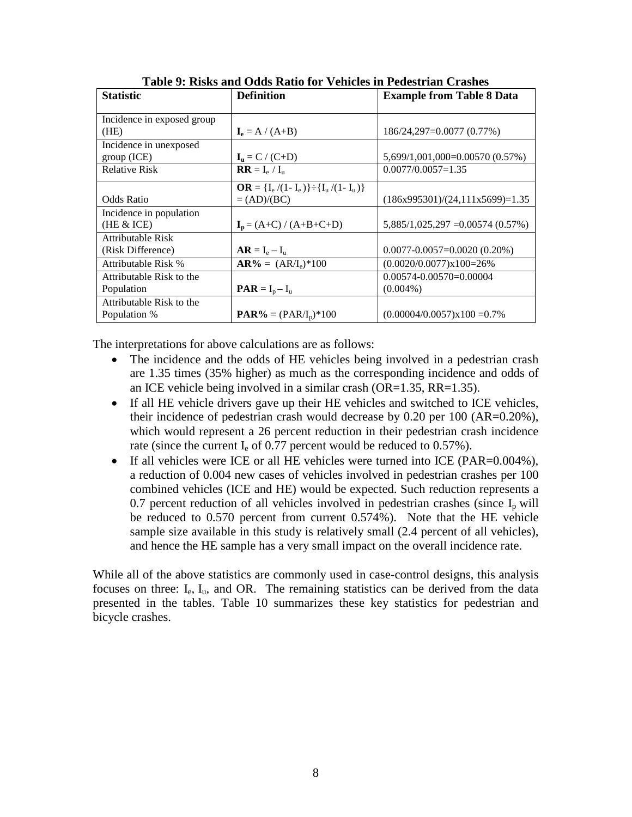<span id="page-13-0"></span>

| <b>Statistic</b>           | <b>Definition</b>                                   | <b>Example from Table 8 Data</b>   |
|----------------------------|-----------------------------------------------------|------------------------------------|
| Incidence in exposed group |                                                     |                                    |
| (HE)                       | $I_e = A / (A+B)$                                   | 186/24,297=0.0077 (0.77%)          |
| Incidence in unexposed     |                                                     |                                    |
| group (ICE)                | $I_{u} = C / (C+D)$                                 | 5,699/1,001,000=0.00570 (0.57%)    |
| <b>Relative Risk</b>       | $RR = I_e / I_u$                                    | $0.0077/0.0057=1.35$               |
|                            | $OR = \{I_e / (1 - I_e)\} \div \{I_u / (1 - I_u)\}$ |                                    |
| Odds Ratio                 | $=(AD)/(BC)$                                        | $(186x995301)/(24,111x5699)=1.35$  |
| Incidence in population    |                                                     |                                    |
| (HE & ICE)                 | $I_p = (A+C) / (A+B+C+D)$                           | $5,885/1,025,297 = 0.00574(0.57%)$ |
| Attributable Risk          |                                                     |                                    |
| (Risk Difference)          | $AR = I_e - I_u$                                    | $0.0077 - 0.0057 = 0.0020$ (0.20%) |
| Attributable Risk %        | $AR\% = (AR/I_e)^*100$                              | $(0.0020/0.0077)x100=26%$          |
| Attributable Risk to the   |                                                     | $0.00574 - 0.00570 = 0.00004$      |
| Population                 | $\mathbf{P} \mathbf{A} \mathbf{R} = I_p - I_u$      | $(0.004\%)$                        |
| Attributable Risk to the   |                                                     |                                    |
| Population %               | $\text{PAR}\% = (\text{PAR}/I_p)^*100$              | $(0.00004/0.0057)x100 = 0.7\%$     |

**Table 9: Risks and Odds Ratio for Vehicles in Pedestrian Crashes**

The interpretations for above calculations are as follows:

- The incidence and the odds of HE vehicles being involved in a pedestrian crash are 1.35 times (35% higher) as much as the corresponding incidence and odds of an ICE vehicle being involved in a similar crash (OR=1.35, RR=1.35).
- If all HE vehicle drivers gave up their HE vehicles and switched to ICE vehicles, their incidence of pedestrian crash would decrease by 0.20 per 100 (AR=0.20%), which would represent a 26 percent reduction in their pedestrian crash incidence rate (since the current  $I_e$  of 0.77 percent would be reduced to 0.57%).
- If all vehicles were ICE or all HE vehicles were turned into ICE (PAR=0.004%), a reduction of 0.004 new cases of vehicles involved in pedestrian crashes per 100 combined vehicles (ICE and HE) would be expected. Such reduction represents a 0.7 percent reduction of all vehicles involved in pedestrian crashes (since  $I_p$  will be reduced to 0.570 percent from current 0.574%). Note that the HE vehicle sample size available in this study is relatively small (2.4 percent of all vehicles), and hence the HE sample has a very small impact on the overall incidence rate.

While all of the above statistics are commonly used in case-control designs, this analysis focuses on three:  $I_e$ ,  $I_u$ , and OR. The remaining statistics can be derived from the data presented in the tables. Table 10 summarizes these key statistics for pedestrian and bicycle crashes.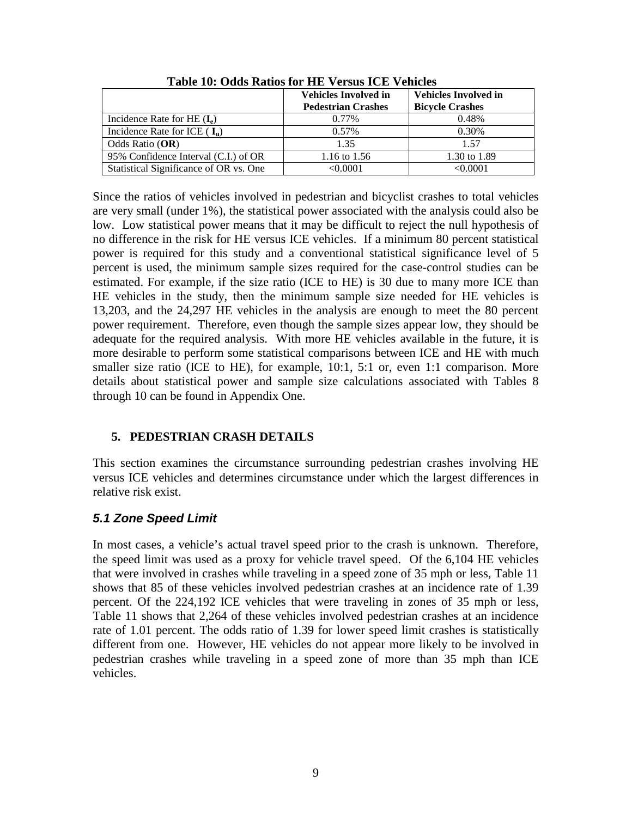<span id="page-14-2"></span>

|                                        | <b>Vehicles Involved in</b><br><b>Pedestrian Crashes</b> | <b>Vehicles Involved in</b><br><b>Bicycle Crashes</b> |
|----------------------------------------|----------------------------------------------------------|-------------------------------------------------------|
| Incidence Rate for HE $(I_e)$          | 0.77%                                                    | 0.48%                                                 |
| Incidence Rate for ICE $(I_n)$         | $0.57\%$                                                 | 0.30%                                                 |
| Odds Ratio $(OR)$                      | 1.35                                                     | 1.57                                                  |
| 95% Confidence Interval (C.I.) of OR   | 1.16 to 1.56                                             | 1.30 to 1.89                                          |
| Statistical Significance of OR vs. One | $<\!\!0.0001$                                            | $<\!\!0.0001$                                         |

**Table 10: Odds Ratios for HE Versus ICE Vehicles**

Since the ratios of vehicles involved in pedestrian and bicyclist crashes to total vehicles are very small (under 1%), the statistical power associated with the analysis could also be low. Low statistical power means that it may be difficult to reject the null hypothesis of no difference in the risk for HE versus ICE vehicles. If a minimum 80 percent statistical power is required for this study and a conventional statistical significance level of 5 percent is used, the minimum sample sizes required for the case-control studies can be estimated. For example, if the size ratio (ICE to HE) is 30 due to many more ICE than HE vehicles in the study, then the minimum sample size needed for HE vehicles is 13,203, and the 24,297 HE vehicles in the analysis are enough to meet the 80 percent power requirement. Therefore, even though the sample sizes appear low, they should be adequate for the required analysis. With more HE vehicles available in the future, it is more desirable to perform some statistical comparisons between ICE and HE with much smaller size ratio (ICE to HE), for example, 10:1, 5:1 or, even 1:1 comparison. More details about statistical power and sample size calculations associated with Tables 8 through 10 can be found in Appendix One.

#### <span id="page-14-0"></span>**5. PEDESTRIAN CRASH DETAILS**

This section examines the circumstance surrounding pedestrian crashes involving HE versus ICE vehicles and determines circumstance under which the largest differences in relative risk exist.

# <span id="page-14-1"></span>*5.1 Zone Speed Limit*

In most cases, a vehicle's actual travel speed prior to the crash is unknown. Therefore, the speed limit was used as a proxy for vehicle travel speed. Of the 6,104 HE vehicles that were involved in crashes while traveling in a speed zone of 35 mph or less, Table 11 shows that 85 of these vehicles involved pedestrian crashes at an incidence rate of 1.39 percent. Of the 224,192 ICE vehicles that were traveling in zones of 35 mph or less, Table 11 shows that 2,264 of these vehicles involved pedestrian crashes at an incidence rate of 1.01 percent. The odds ratio of 1.39 for lower speed limit crashes is statistically different from one. However, HE vehicles do not appear more likely to be involved in pedestrian crashes while traveling in a speed zone of more than 35 mph than ICE vehicles.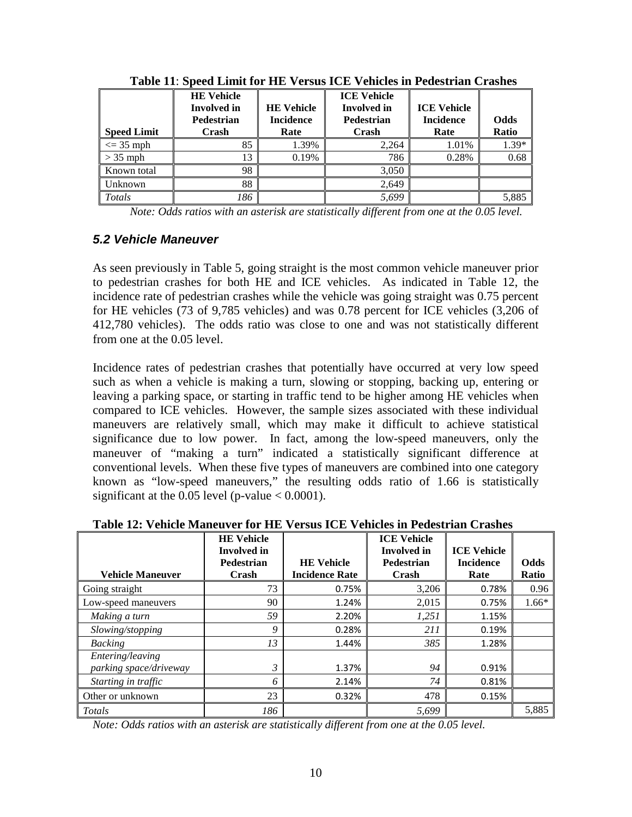<span id="page-15-1"></span>

| <b>Speed Limit</b> | <b>HE Vehicle</b><br><b>Involved</b> in<br><b>Pedestrian</b><br>Crash | <b>HE Vehicle</b><br><b>Incidence</b><br>Rate | <b>ICE Vehicle</b><br><b>Involved</b> in<br><b>Pedestrian</b><br>Crash | <b>ICE Vehicle</b><br><b>Incidence</b><br>Rate | <b>Odds</b><br>Ratio |
|--------------------|-----------------------------------------------------------------------|-----------------------------------------------|------------------------------------------------------------------------|------------------------------------------------|----------------------|
| $\leq$ 35 mph      | 85                                                                    | 1.39%                                         | 2.264                                                                  | 1.01%                                          | 1.39*                |
| $> 35$ mph         | 13                                                                    | 0.19%                                         | 786                                                                    | 0.28%                                          | 0.68                 |
| Known total        | 98                                                                    |                                               | 3,050                                                                  |                                                |                      |
| Unknown            | 88                                                                    |                                               | 2,649                                                                  |                                                |                      |
| Totals             | 186                                                                   |                                               | 5,699                                                                  |                                                | 5,885                |

**Table 11**: **Speed Limit for HE Versus ICE Vehicles in Pedestrian Crashes**

*Note: Odds ratios with an asterisk are statistically different from one at the 0.05 level.*

#### <span id="page-15-0"></span>*5.2 Vehicle Maneuver*

As seen previously in Table 5, going straight is the most common vehicle maneuver prior to pedestrian crashes for both HE and ICE vehicles. As indicated in Table 12, the incidence rate of pedestrian crashes while the vehicle was going straight was 0.75 percent for HE vehicles (73 of 9,785 vehicles) and was 0.78 percent for ICE vehicles (3,206 of 412,780 vehicles). The odds ratio was close to one and was not statistically different from one at the 0.05 level.

Incidence rates of pedestrian crashes that potentially have occurred at very low speed such as when a vehicle is making a turn, slowing or stopping, backing up, entering or leaving a parking space, or starting in traffic tend to be higher among HE vehicles when compared to ICE vehicles. However, the sample sizes associated with these individual maneuvers are relatively small, which may make it difficult to achieve statistical significance due to low power. In fact, among the low-speed maneuvers, only the maneuver of "making a turn" indicated a statistically significant difference at conventional levels. When these five types of maneuvers are combined into one category known as "low-speed maneuvers," the resulting odds ratio of 1.66 is statistically significant at the 0.05 level (p-value  $< 0.0001$ ).

| <b>Vehicle Maneuver</b>                    | <b>HE Vehicle</b><br><b>Involved</b> in<br><b>Pedestrian</b><br>Crash | <b>HE Vehicle</b><br><b>Incidence Rate</b> | <b>ICE Vehicle</b><br><b>Involved</b> in<br>Pedestrian<br>Crash | <b>ICE Vehicle</b><br><b>Incidence</b><br>Rate | <b>Odds</b><br>Ratio |
|--------------------------------------------|-----------------------------------------------------------------------|--------------------------------------------|-----------------------------------------------------------------|------------------------------------------------|----------------------|
| Going straight                             | 73                                                                    | 0.75%                                      | 3,206                                                           | 0.78%                                          | 0.96                 |
| Low-speed maneuvers                        | 90                                                                    | 1.24%                                      | 2,015                                                           | 0.75%                                          | $1.66*$              |
| Making a turn                              | 59                                                                    | 2.20%                                      | 1,251                                                           | 1.15%                                          |                      |
| Slowing/stopping                           | 9                                                                     | 0.28%                                      | 211                                                             | 0.19%                                          |                      |
| <b>Backing</b>                             | 13                                                                    | 1.44%                                      | 385                                                             | 1.28%                                          |                      |
| Entering/leaving<br>parking space/driveway | $\mathfrak{Z}$                                                        | 1.37%                                      | 94                                                              | 0.91%                                          |                      |
| Starting in traffic                        | 6                                                                     | 2.14%                                      | 74                                                              | 0.81%                                          |                      |
| Other or unknown                           | 23                                                                    | 0.32%                                      | 478                                                             | 0.15%                                          |                      |
| Totals                                     | 186                                                                   |                                            | 5,699                                                           |                                                | 5,885                |

#### <span id="page-15-2"></span>**Table 12: Vehicle Maneuver for HE Versus ICE Vehicles in Pedestrian Crashes**

*Note: Odds ratios with an asterisk are statistically different from one at the 0.05 level.*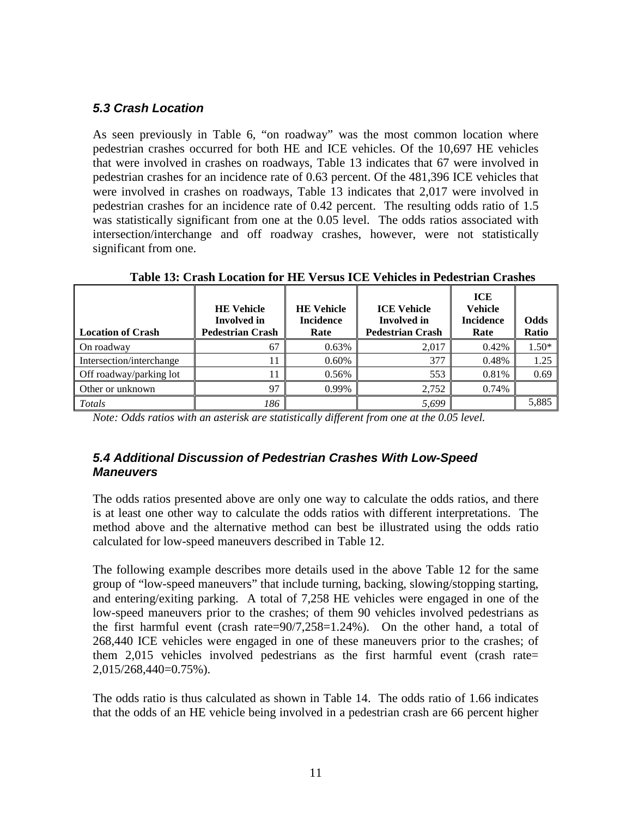# <span id="page-16-0"></span>*5.3 Crash Location*

As seen previously in Table 6, "on roadway" was the most common location where pedestrian crashes occurred for both HE and ICE vehicles. Of the 10,697 HE vehicles that were involved in crashes on roadways, Table 13 indicates that 67 were involved in pedestrian crashes for an incidence rate of 0.63 percent. Of the 481,396 ICE vehicles that were involved in crashes on roadways, Table 13 indicates that 2,017 were involved in pedestrian crashes for an incidence rate of 0.42 percent. The resulting odds ratio of 1.5 was statistically significant from one at the 0.05 level. The odds ratios associated with intersection/interchange and off roadway crashes, however, were not statistically significant from one.

<span id="page-16-2"></span>

| <b>Location of Crash</b> | <b>HE Vehicle</b><br><b>Involved</b> in<br><b>Pedestrian Crash</b> | <b>HE Vehicle</b><br><b>Incidence</b><br>Rate | <b>ICE Vehicle</b><br><b>Involved</b> in<br><b>Pedestrian Crash</b> | ICE<br><b>Vehicle</b><br><b>Incidence</b><br>Rate | Odds<br>Ratio |
|--------------------------|--------------------------------------------------------------------|-----------------------------------------------|---------------------------------------------------------------------|---------------------------------------------------|---------------|
| On roadway               | 67                                                                 | 0.63%                                         | 2.017                                                               | 0.42%                                             | $1.50*$       |
| Intersection/interchange |                                                                    | 0.60%                                         | 377                                                                 | 0.48%                                             | 1.25          |
| Off roadway/parking lot  |                                                                    | 0.56%                                         | 553                                                                 | 0.81%                                             | 0.69          |
| Other or unknown         | 97                                                                 | 0.99%                                         | 2,752                                                               | 0.74%                                             |               |
| Totals                   | 186                                                                |                                               | 5,699                                                               |                                                   | 5,885         |

**Table 13: Crash Location for HE Versus ICE Vehicles in Pedestrian Crashes**

*Note: Odds ratios with an asterisk are statistically different from one at the 0.05 level.* 

### <span id="page-16-1"></span>*5.4 Additional Discussion of Pedestrian Crashes With Low-Speed Maneuvers*

The odds ratios presented above are only one way to calculate the odds ratios, and there is at least one other way to calculate the odds ratios with different interpretations. The method above and the alternative method can best be illustrated using the odds ratio calculated for low-speed maneuvers described in Table 12.

The following example describes more details used in the above Table 12 for the same group of "low-speed maneuvers" that include turning, backing, slowing/stopping starting, and entering/exiting parking. A total of 7,258 HE vehicles were engaged in one of the low-speed maneuvers prior to the crashes; of them 90 vehicles involved pedestrians as the first harmful event (crash rate=90/7,258=1.24%). On the other hand, a total of 268,440 ICE vehicles were engaged in one of these maneuvers prior to the crashes; of them 2,015 vehicles involved pedestrians as the first harmful event (crash rate= 2,015/268,440=0.75%).

The odds ratio is thus calculated as shown in Table 14. The odds ratio of 1.66 indicates that the odds of an HE vehicle being involved in a pedestrian crash are 66 percent higher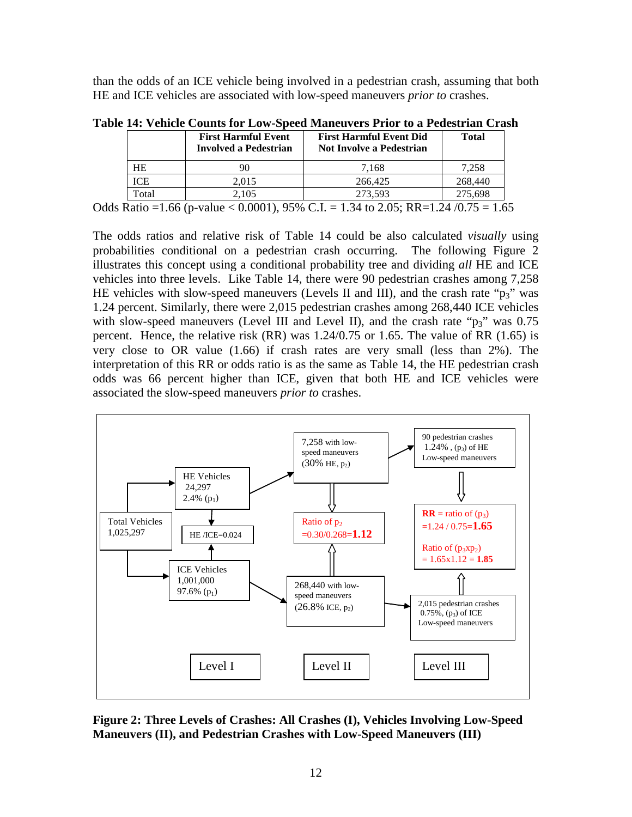than the odds of an ICE vehicle being involved in a pedestrian crash, assuming that both HE and ICE vehicles are associated with low-speed maneuvers *prior to* crashes.

|            | <b>First Harmful Event</b><br><b>Involved a Pedestrian</b> | <b>First Harmful Event Did</b><br><b>Not Involve a Pedestrian</b>                   | <b>Total</b> |
|------------|------------------------------------------------------------|-------------------------------------------------------------------------------------|--------------|
| <b>HE</b>  | 90                                                         | 7.168                                                                               | 7.258        |
| <b>ICE</b> | 2,015                                                      | 266,425                                                                             | 268,440      |
| Total      | 2.105                                                      | 273.593                                                                             | 275.698      |
|            |                                                            | Odds Ratio = 1.66 (p-value < 0.0001), 95% C.I. = 1.34 to 2.05; RR=1.24 /0.75 = 1.65 |              |

<span id="page-17-1"></span>**Table 14: Vehicle Counts for Low-Speed Maneuvers Prior to a Pedestrian Crash**

The odds ratios and relative risk of Table 14 could be also calculated *visually* using probabilities conditional on a pedestrian crash occurring. The following Figure 2 illustrates this concept using a conditional probability tree and dividing *all* HE and ICE vehicles into three levels. Like Table 14, there were 90 pedestrian crashes among 7,258 HE vehicles with slow-speed maneuvers (Levels II and III), and the crash rate " $p_3$ " was 1.24 percent. Similarly, there were 2,015 pedestrian crashes among 268,440 ICE vehicles with slow-speed maneuvers (Level III and Level II), and the crash rate " $p_3$ " was 0.75 percent. Hence, the relative risk (RR) was 1.24/0.75 or 1.65. The value of RR (1.65) is very close to OR value (1.66) if crash rates are very small (less than 2%). The interpretation of this RR or odds ratio is as the same as Table 14, the HE pedestrian crash odds was 66 percent higher than ICE, given that both HE and ICE vehicles were associated the slow-speed maneuvers *prior to* crashes.



<span id="page-17-0"></span>**Figure 2: Three Levels of Crashes: All Crashes (I), Vehicles Involving Low-Speed Maneuvers (II), and Pedestrian Crashes with Low-Speed Maneuvers (III)**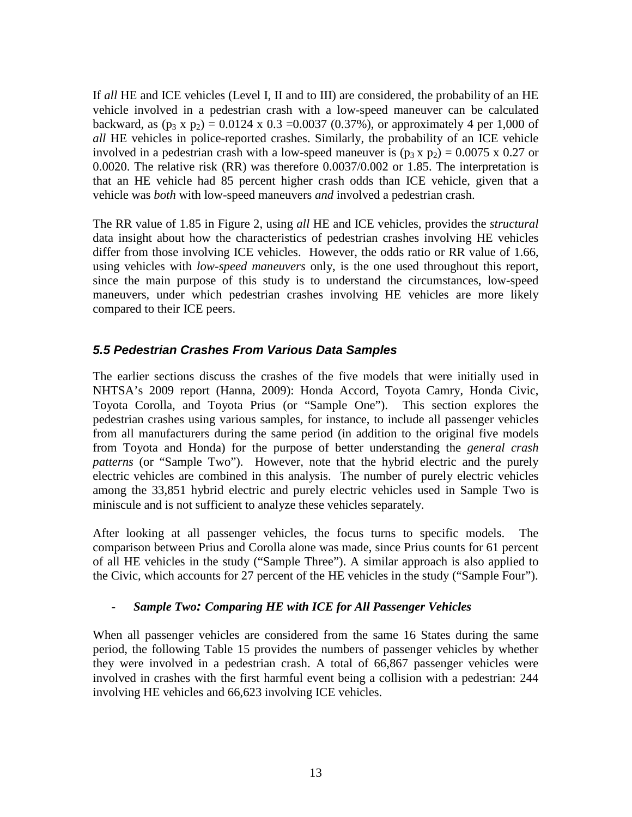If *all* HE and ICE vehicles (Level I, II and to III) are considered, the probability of an HE vehicle involved in a pedestrian crash with a low-speed maneuver can be calculated backward, as  $(p_3 x p_2) = 0.0124 x 0.3 = 0.0037 (0.37\%)$ , or approximately 4 per 1,000 of *all* HE vehicles in police-reported crashes. Similarly, the probability of an ICE vehicle involved in a pedestrian crash with a low-speed maneuver is  $(p_3 x p_2) = 0.0075 x 0.27$  or 0.0020. The relative risk (RR) was therefore 0.0037/0.002 or 1.85. The interpretation is that an HE vehicle had 85 percent higher crash odds than ICE vehicle, given that a vehicle was *both* with low-speed maneuvers *and* involved a pedestrian crash.

The RR value of 1.85 in Figure 2, using *all* HE and ICE vehicles, provides the *structural*  data insight about how the characteristics of pedestrian crashes involving HE vehicles differ from those involving ICE vehicles. However, the odds ratio or RR value of 1.66, using vehicles with *low-speed maneuvers* only, is the one used throughout this report, since the main purpose of this study is to understand the circumstances, low-speed maneuvers, under which pedestrian crashes involving HE vehicles are more likely compared to their ICE peers.

# <span id="page-18-0"></span>*5.5 Pedestrian Crashes From Various Data Samples*

The earlier sections discuss the crashes of the five models that were initially used in NHTSA's 2009 report (Hanna, 2009): Honda Accord, Toyota Camry, Honda Civic, Toyota Corolla, and Toyota Prius (or "Sample One"). This section explores the pedestrian crashes using various samples, for instance, to include all passenger vehicles from all manufacturers during the same period (in addition to the original five models from Toyota and Honda) for the purpose of better understanding the *general crash patterns* (or "Sample Two"). However, note that the hybrid electric and the purely electric vehicles are combined in this analysis. The number of purely electric vehicles among the 33,851 hybrid electric and purely electric vehicles used in Sample Two is miniscule and is not sufficient to analyze these vehicles separately.

After looking at all passenger vehicles, the focus turns to specific models. The comparison between Prius and Corolla alone was made, since Prius counts for 61 percent of all HE vehicles in the study ("Sample Three"). A similar approach is also applied to the Civic, which accounts for 27 percent of the HE vehicles in the study ("Sample Four").

# - *Sample Two: Comparing HE with ICE for All Passenger Vehicles*

When all passenger vehicles are considered from the same 16 States during the same period, the following Table 15 provides the numbers of passenger vehicles by whether they were involved in a pedestrian crash. A total of 66,867 passenger vehicles were involved in crashes with the first harmful event being a collision with a pedestrian: 244 involving HE vehicles and 66,623 involving ICE vehicles.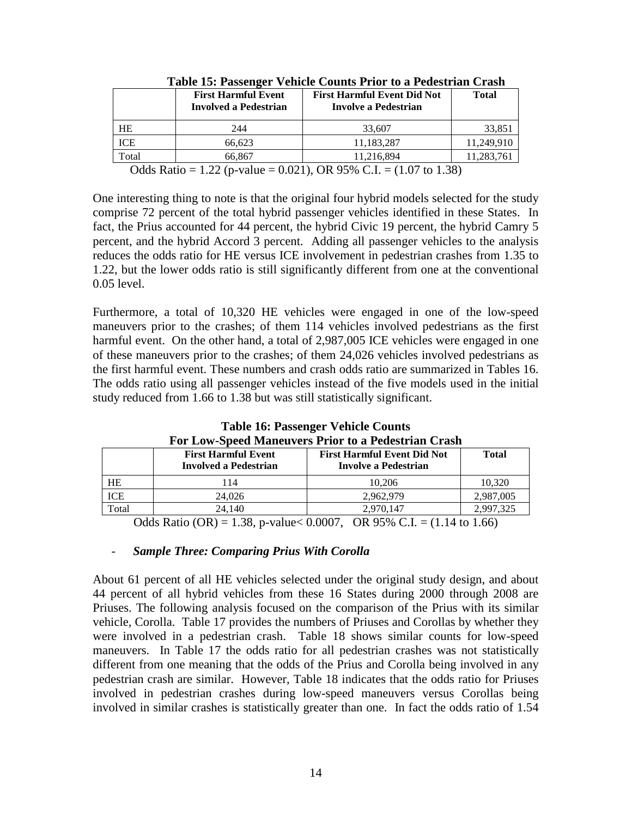<span id="page-19-0"></span>

| <b>First Harmful Event</b><br><b>Involved a Pedestrian</b> | <b>First Harmful Event Did Not</b><br>Involve a Pedestrian                                                                                                                                                                                                                                                                                                                           | <b>Total</b>                                  |
|------------------------------------------------------------|--------------------------------------------------------------------------------------------------------------------------------------------------------------------------------------------------------------------------------------------------------------------------------------------------------------------------------------------------------------------------------------|-----------------------------------------------|
| 244                                                        | 33,607                                                                                                                                                                                                                                                                                                                                                                               | 33,851                                        |
| 66.623                                                     | 11.183.287                                                                                                                                                                                                                                                                                                                                                                           | 11.249.910                                    |
| 66.867                                                     | 11.216.894                                                                                                                                                                                                                                                                                                                                                                           | 11,283,761                                    |
| $\sim$ $\sim$ $\sim$ $\sim$                                | $\overline{a}$ $\overline{a}$ $\overline{a}$ $\overline{a}$ $\overline{a}$ $\overline{a}$ $\overline{a}$ $\overline{a}$ $\overline{a}$ $\overline{a}$ $\overline{a}$ $\overline{a}$ $\overline{a}$ $\overline{a}$ $\overline{a}$ $\overline{a}$ $\overline{a}$ $\overline{a}$ $\overline{a}$ $\overline{a}$ $\overline{a}$ $\overline{a}$ $\overline{a}$ $\overline{a}$ $\overline{$ | $0.021$ $0.020$ $0.020$ $0.7$ $0.000$ $0.000$ |

**Table 15: Passenger Vehicle Counts Prior to a Pedestrian Crash**

Odds Ratio = 1.22 (p-value = 0.021), OR 95% C.I. =  $(1.07 \text{ to } 1.38)$ 

One interesting thing to note is that the original four hybrid models selected for the study comprise 72 percent of the total hybrid passenger vehicles identified in these States. In fact, the Prius accounted for 44 percent, the hybrid Civic 19 percent, the hybrid Camry 5 percent, and the hybrid Accord 3 percent. Adding all passenger vehicles to the analysis reduces the odds ratio for HE versus ICE involvement in pedestrian crashes from 1.35 to 1.22, but the lower odds ratio is still significantly different from one at the conventional 0.05 level.

Furthermore, a total of 10,320 HE vehicles were engaged in one of the low-speed maneuvers prior to the crashes; of them 114 vehicles involved pedestrians as the first harmful event. On the other hand, a total of 2,987,005 ICE vehicles were engaged in one of these maneuvers prior to the crashes; of them 24,026 vehicles involved pedestrians as the first harmful event. These numbers and crash odds ratio are summarized in Tables 16. The odds ratio using all passenger vehicles instead of the five models used in the initial study reduced from 1.66 to 1.38 but was still statistically significant.

<span id="page-19-1"></span>

| Pul Low-Speed Maneuvers I Hul to a I edestrial Crash |                                                            |                                                            |                                                     |  |
|------------------------------------------------------|------------------------------------------------------------|------------------------------------------------------------|-----------------------------------------------------|--|
|                                                      | <b>First Harmful Event</b><br><b>Involved a Pedestrian</b> | <b>First Harmful Event Did Not</b><br>Involve a Pedestrian | Total                                               |  |
| HE                                                   | 114                                                        | 10.206                                                     | 10.320                                              |  |
| ICE                                                  | 24,026                                                     | 2.962.979                                                  | 2,987,005                                           |  |
| Total                                                | 24,140                                                     | 2.970.147                                                  | 2.997.325                                           |  |
|                                                      | $0.11 \times 1.00$                                         | 0.000<br>$\bigcap_{n=1}^{\infty}$                          | $\lambda$ and $\lambda$ and $\lambda$ and $\lambda$ |  |

**Table 16: Passenger Vehicle Counts For Low-Speed Maneuvers Prior to a Pedestrian Crash**

Odds Ratio (OR) = 1.38, p-value < 0.0007, OR 95% C.I. =  $(1.14 \text{ to } 1.66)$ 

#### - *Sample Three: Comparing Prius With Corolla*

About 61 percent of all HE vehicles selected under the original study design, and about 44 percent of all hybrid vehicles from these 16 States during 2000 through 2008 are Priuses. The following analysis focused on the comparison of the Prius with its similar vehicle, Corolla. Table 17 provides the numbers of Priuses and Corollas by whether they were involved in a pedestrian crash. Table 18 shows similar counts for low-speed maneuvers. In Table 17 the odds ratio for all pedestrian crashes was not statistically different from one meaning that the odds of the Prius and Corolla being involved in any pedestrian crash are similar. However, Table 18 indicates that the odds ratio for Priuses involved in pedestrian crashes during low-speed maneuvers versus Corollas being involved in similar crashes is statistically greater than one. In fact the odds ratio of 1.54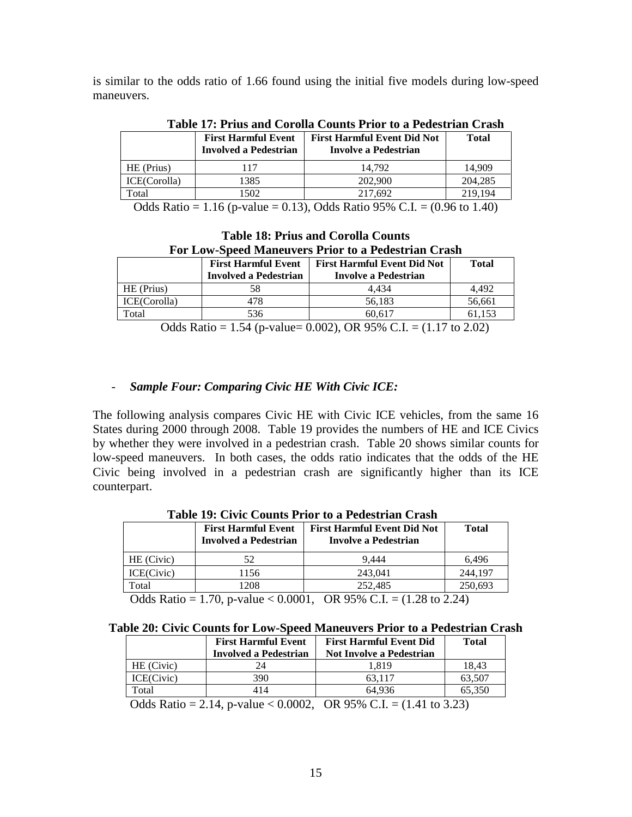is similar to the odds ratio of 1.66 found using the initial five models during low-speed maneuvers.

<span id="page-20-0"></span>

| Table 17: Prius and Corolla Counts Prior to a Pedestrian Crash |                                                            |                                                            |         |  |
|----------------------------------------------------------------|------------------------------------------------------------|------------------------------------------------------------|---------|--|
|                                                                | <b>First Harmful Event</b><br><b>Involved a Pedestrian</b> | <b>First Harmful Event Did Not</b><br>Involve a Pedestrian | Total   |  |
| HE (Prius)                                                     | 117                                                        | 14.792                                                     | 14.909  |  |
| ICE(Corolla)                                                   | 1385                                                       | 202,900                                                    | 204,285 |  |
| Total                                                          | 1502                                                       | 217.692                                                    | 219,194 |  |

**Table 17: Prius and Corolla Counts Prior to a Pedestrian Crash**

Odds Ratio = 1.16 (p-value = 0.13), Odds Ratio 95% C.I. =  $(0.96 \text{ to } 1.40)$ 

|                                                     |  | <b>Table 18: Prius and Corolla Counts</b>                     |  |  |  |
|-----------------------------------------------------|--|---------------------------------------------------------------|--|--|--|
| For Low-Speed Maneuvers Prior to a Pedestrian Crash |  |                                                               |  |  |  |
|                                                     |  | $\Box$ Eight Hounty Extent $\Box$ Eight Hounty Extent Did Not |  |  |  |

<span id="page-20-1"></span>

|              | <b>First Harmful Event</b><br><b>Involved a Pedestrian</b> | <b>First Harmful Event Did Not</b><br><b>Involve a Pedestrian</b> | <b>Total</b> |
|--------------|------------------------------------------------------------|-------------------------------------------------------------------|--------------|
| HE (Prius)   | 58                                                         | 4.434                                                             | 4.492        |
| ICE(Corolla) | 478                                                        | 56.183                                                            | 56,661       |
| Total        | 536                                                        | 60.617                                                            | 61.153       |

Odds Ratio = 1.54 (p-value= 0.002), OR 95% C.I. =  $(1.17 \text{ to } 2.02)$ 

#### - *Sample Four: Comparing Civic HE With Civic ICE:*

The following analysis compares Civic HE with Civic ICE vehicles, from the same 16 States during 2000 through 2008. Table 19 provides the numbers of HE and ICE Civics by whether they were involved in a pedestrian crash. Table 20 shows similar counts for low-speed maneuvers. In both cases, the odds ratio indicates that the odds of the HE Civic being involved in a pedestrian crash are significantly higher than its ICE counterpart.

<span id="page-20-2"></span>

|                                                            | TUDIO TA VITIN VARIIM TIIVI MAT VUODILIITI VITUDI |                                                                                       |              |  |  |  |  |
|------------------------------------------------------------|---------------------------------------------------|---------------------------------------------------------------------------------------|--------------|--|--|--|--|
| <b>First Harmful Event</b><br><b>Involved a Pedestrian</b> |                                                   | <b>First Harmful Event Did Not</b><br>Involve a Pedestrian                            | <b>Total</b> |  |  |  |  |
| HE (Civic)                                                 | 52                                                | 9.444                                                                                 | 6.496        |  |  |  |  |
| ICE(Civic)                                                 | 1156                                              | 243.041                                                                               | 244,197      |  |  |  |  |
| Total                                                      | 1208                                              | 252,485                                                                               | 250,693      |  |  |  |  |
| $0.11 \, \mathrm{m}$ .                                     | 0.0001<br>$\sim$ $\sim$                           | $\Omega$ $\Omega$ $\Omega$ $\Omega$ $\Omega$ $\Omega$ $\Omega$<br>$(1.00 \cdot 0.01)$ |              |  |  |  |  |

**Table 19: Civic Counts Prior to a Pedestrian Crash**

Odds Ratio = 1.70, p-value < 0.0001, OR 95% C.I. =  $(1.28 \text{ to } 2.24)$ 

<span id="page-20-3"></span>

|  |  | Table 20: Civic Counts for Low-Speed Maneuvers Prior to a Pedestrian Crash |  |  |  |  |  |  |
|--|--|----------------------------------------------------------------------------|--|--|--|--|--|--|
|--|--|----------------------------------------------------------------------------|--|--|--|--|--|--|

|                                  | <b>First Harmful Event</b><br><b>Involved a Pedestrian</b> | <b>First Harmful Event Did</b><br><b>Not Involve a Pedestrian</b>              | <b>Total</b> |
|----------------------------------|------------------------------------------------------------|--------------------------------------------------------------------------------|--------------|
| HE (Civic)                       | 24                                                         | 1.819                                                                          | 18.43        |
| ICE(Civic)                       | 390                                                        | 63.117                                                                         | 63.507       |
| Total                            | 414                                                        | 64.936                                                                         | 65.350       |
| $\bigcap$ 11 $\bigcap$ $\bigcup$ | $\sim$ 0000                                                | $\Omega$ $\Omega$ $\Omega$ $\Omega$ $\Omega$ $\Gamma$<br>$\sqrt{1}$ $\sqrt{1}$ | $\Omega$     |

Odds Ratio = 2.14, p-value < 0.0002, OR 95% C.I. =  $(1.41 \text{ to } 3.23)$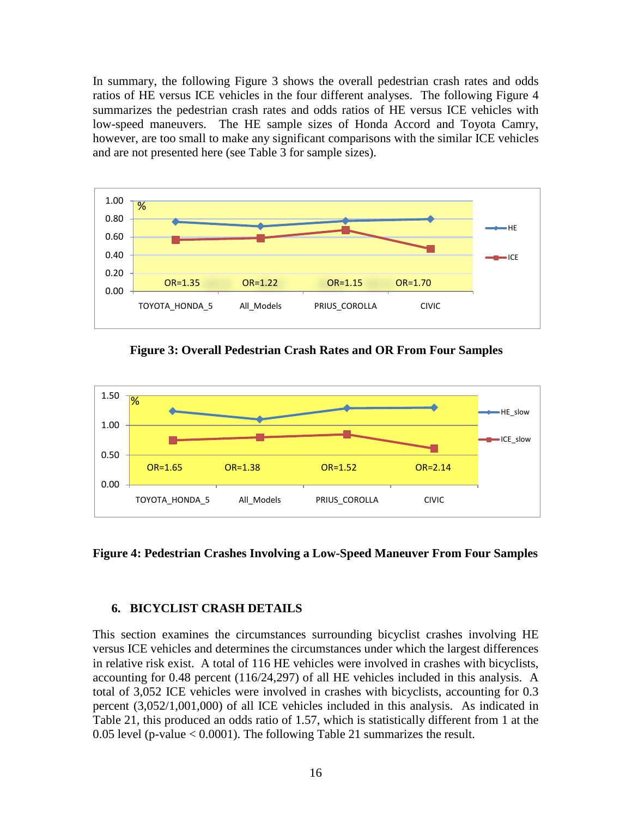In summary, the following Figure 3 shows the overall pedestrian crash rates and odds ratios of HE versus ICE vehicles in the four different analyses. The following Figure 4 summarizes the pedestrian crash rates and odds ratios of HE versus ICE vehicles with low-speed maneuvers. The HE sample sizes of Honda Accord and Toyota Camry, however, are too small to make any significant comparisons with the similar ICE vehicles and are not presented here (see Table 3 for sample sizes).



<span id="page-21-1"></span>**Figure 3: Overall Pedestrian Crash Rates and OR From Four Samples** 



<span id="page-21-2"></span>**Figure 4: Pedestrian Crashes Involving a Low-Speed Maneuver From Four Samples**

#### <span id="page-21-0"></span>**6. BICYCLIST CRASH DETAILS**

This section examines the circumstances surrounding bicyclist crashes involving HE versus ICE vehicles and determines the circumstances under which the largest differences in relative risk exist. A total of 116 HE vehicles were involved in crashes with bicyclists, accounting for 0.48 percent (116/24,297) of all HE vehicles included in this analysis. A total of 3,052 ICE vehicles were involved in crashes with bicyclists, accounting for 0.3 percent (3,052/1,001,000) of all ICE vehicles included in this analysis. As indicated in Table 21, this produced an odds ratio of 1.57, which is statistically different from 1 at the 0.05 level (p-value  $< 0.0001$ ). The following Table 21 summarizes the result.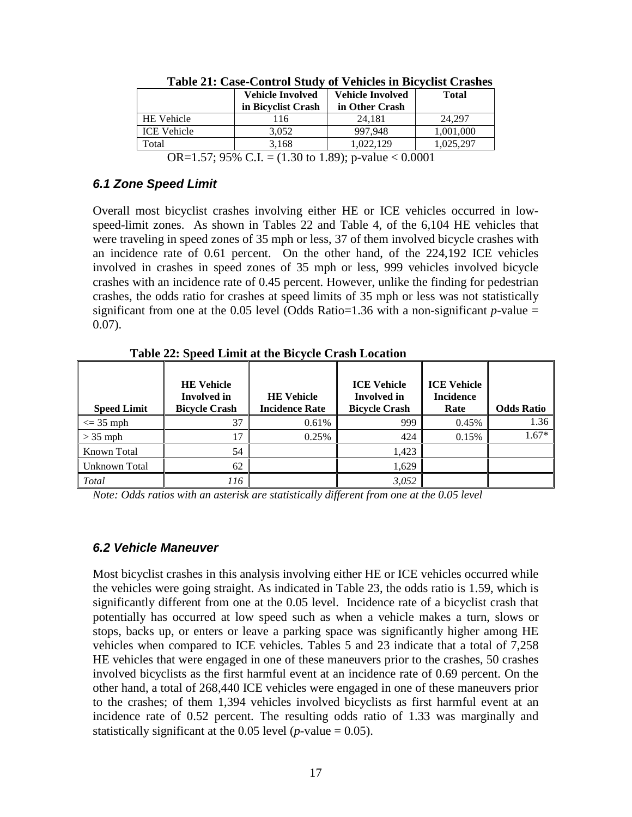<span id="page-22-2"></span>

|                    | <b>Vehicle Involved</b><br>in Bicyclist Crash | <b>Vehicle Involved</b><br>in Other Crash | <b>Total</b>                |
|--------------------|-----------------------------------------------|-------------------------------------------|-----------------------------|
| <b>HE</b> Vehicle  | 116                                           | 24.181                                    | 24.297                      |
| <b>ICE Vehicle</b> | 3.052                                         | 997.948                                   | 1,001,000                   |
| Total              | 3.168                                         | 1.022.129                                 | 1.025.297                   |
|                    |                                               |                                           | $\sim$ $\sim$ $\sim$ $\sim$ |

**Table 21: Case-Control Study of Vehicles in Bicyclist Crashes**

OR=1.57; 95% C.I. = (1.30 to 1.89); p-value < 0.0001

#### <span id="page-22-0"></span>*6.1 Zone Speed Limit*

Overall most bicyclist crashes involving either HE or ICE vehicles occurred in lowspeed-limit zones. As shown in Tables 22 and Table 4, of the 6,104 HE vehicles that were traveling in speed zones of 35 mph or less, 37 of them involved bicycle crashes with an incidence rate of 0.61 percent. On the other hand, of the 224,192 ICE vehicles involved in crashes in speed zones of 35 mph or less, 999 vehicles involved bicycle crashes with an incidence rate of 0.45 percent. However, unlike the finding for pedestrian crashes, the odds ratio for crashes at speed limits of 35 mph or less was not statistically significant from one at the 0.05 level (Odds Ratio=1.36 with a non-significant  $p$ -value = 0.07).

<span id="page-22-3"></span>

| <b>Speed Limit</b> | <b>HE Vehicle</b><br><b>Involved</b> in<br><b>Bicycle Crash</b> | <b>HE</b> Vehicle<br><b>Incidence Rate</b> | <b>ICE Vehicle</b><br><b>Involved</b> in<br><b>Bicycle Crash</b> | <b>ICE Vehicle</b><br><b>Incidence</b><br>Rate | <b>Odds Ratio</b> |
|--------------------|-----------------------------------------------------------------|--------------------------------------------|------------------------------------------------------------------|------------------------------------------------|-------------------|
| $\leq$ 35 mph      | 37                                                              | 0.61%                                      | 999                                                              | 0.45%                                          | 1.36              |
| $>$ 35 mph         |                                                                 | 0.25%                                      | 424                                                              | 0.15%                                          | $1.67*$           |
| Known Total        | 54                                                              |                                            | 1,423                                                            |                                                |                   |
| Unknown Total      | 62                                                              |                                            | 1,629                                                            |                                                |                   |
| Total              | 116                                                             |                                            | 3,052                                                            |                                                |                   |

**Table 22: Speed Limit at the Bicycle Crash Location**

*Note: Odds ratios with an asterisk are statistically different from one at the 0.05 level*

#### <span id="page-22-1"></span>*6.2 Vehicle Maneuver*

Most bicyclist crashes in this analysis involving either HE or ICE vehicles occurred while the vehicles were going straight. As indicated in Table 23, the odds ratio is 1.59, which is significantly different from one at the 0.05 level. Incidence rate of a bicyclist crash that potentially has occurred at low speed such as when a vehicle makes a turn, slows or stops, backs up, or enters or leave a parking space was significantly higher among HE vehicles when compared to ICE vehicles. Tables 5 and 23 indicate that a total of 7,258 HE vehicles that were engaged in one of these maneuvers prior to the crashes, 50 crashes involved bicyclists as the first harmful event at an incidence rate of 0.69 percent. On the other hand, a total of 268,440 ICE vehicles were engaged in one of these maneuvers prior to the crashes; of them 1,394 vehicles involved bicyclists as first harmful event at an incidence rate of 0.52 percent. The resulting odds ratio of 1.33 was marginally and statistically significant at the  $0.05$  level (*p*-value =  $0.05$ ).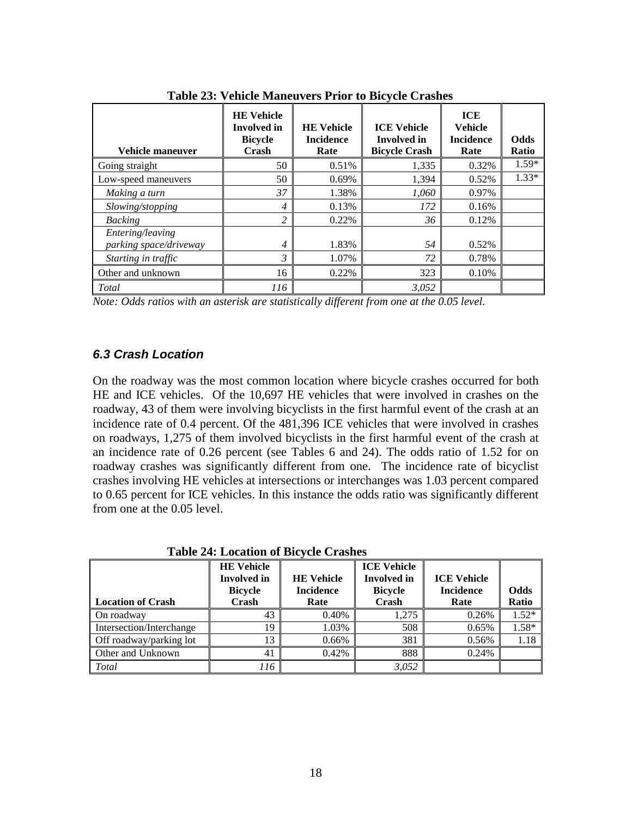<span id="page-23-1"></span>

| Vehicle maneuver       | <b>HE Vehicle</b><br><b>Involved</b> in<br><b>Bicycle</b><br>Crash | <b>HE Vehicle</b><br><b>Incidence</b><br>Rate | <b>ICE Vehicle</b><br><b>Involved</b> in<br><b>Bicycle Crash</b> | <b>ICE</b><br><b>Vehicle</b><br><b>Incidence</b><br>Rate | <b>Odds</b><br>Ratio |
|------------------------|--------------------------------------------------------------------|-----------------------------------------------|------------------------------------------------------------------|----------------------------------------------------------|----------------------|
| Going straight         | 50                                                                 | 0.51%                                         | 1,335                                                            | 0.32%                                                    | $1.59*$              |
| Low-speed maneuvers    | 50                                                                 | 0.69%                                         | 1,394                                                            | 0.52%                                                    | $1.33*$              |
| Making a turn          | 37                                                                 | 1.38%                                         | 1,060                                                            | 0.97%                                                    |                      |
| Slowing/stopping       | 4                                                                  | 0.13%                                         | 172                                                              | 0.16%                                                    |                      |
| <b>Backing</b>         | 2                                                                  | 0.22%                                         | 36                                                               | 0.12%                                                    |                      |
| Entering/leaving       |                                                                    |                                               |                                                                  |                                                          |                      |
| parking space/driveway | 4                                                                  | 1.83%                                         | 54                                                               | 0.52%                                                    |                      |
| Starting in traffic    | $\mathfrak{Z}$                                                     | 1.07%                                         | 72                                                               | 0.78%                                                    |                      |
| Other and unknown      | 16                                                                 | 0.22%                                         | 323                                                              | 0.10%                                                    |                      |
| $\mid$ Total           | 116                                                                |                                               | 3,052                                                            |                                                          |                      |

**Table 23: Vehicle Maneuvers Prior to Bicycle Crashes**

*Note: Odds ratios with an asterisk are statistically different from one at the 0.05 level.*

#### <span id="page-23-0"></span>*6.3 Crash Location*

On the roadway was the most common location where bicycle crashes occurred for both HE and ICE vehicles. Of the 10,697 HE vehicles that were involved in crashes on the roadway, 43 of them were involving bicyclists in the first harmful event of the crash at an incidence rate of 0.4 percent. Of the 481,396 ICE vehicles that were involved in crashes on roadways, 1,275 of them involved bicyclists in the first harmful event of the crash at an incidence rate of 0.26 percent (see Tables 6 and 24). The odds ratio of 1.52 for on roadway crashes was significantly different from one. The incidence rate of bicyclist crashes involving HE vehicles at intersections or interchanges was 1.03 percent compared to 0.65 percent for ICE vehicles. In this instance the odds ratio was significantly different from one at the 0.05 level.

**Table 24: Location of Bicycle Crashes**

<span id="page-23-2"></span>

| <b>Location of Crash</b> | <b>HE</b> Vehicle<br><b>Involved</b> in<br><b>Bicycle</b><br>Crash | <b>HE Vehicle</b><br><b>Incidence</b><br>Rate | <b>ICE Vehicle</b><br><b>Involved</b> in<br><b>Bicycle</b><br>Crash | <b>ICE Vehicle</b><br><b>Incidence</b><br>Rate | Odds<br>Ratio |
|--------------------------|--------------------------------------------------------------------|-----------------------------------------------|---------------------------------------------------------------------|------------------------------------------------|---------------|
| On roadway               | 43                                                                 | 0.40%                                         | 1.275                                                               | 0.26%                                          | $1.52*$       |
| Intersection/Interchange | 19                                                                 | 1.03%                                         | 508                                                                 | 0.65%                                          | 1.58*         |
| Off roadway/parking lot  | 13                                                                 | 0.66%                                         | 381                                                                 | 0.56%                                          | 1.18          |
| Other and Unknown        | 41                                                                 | 0.42%                                         | 888                                                                 | 0.24%                                          |               |
| Total                    | 116                                                                |                                               | 3,052                                                               |                                                |               |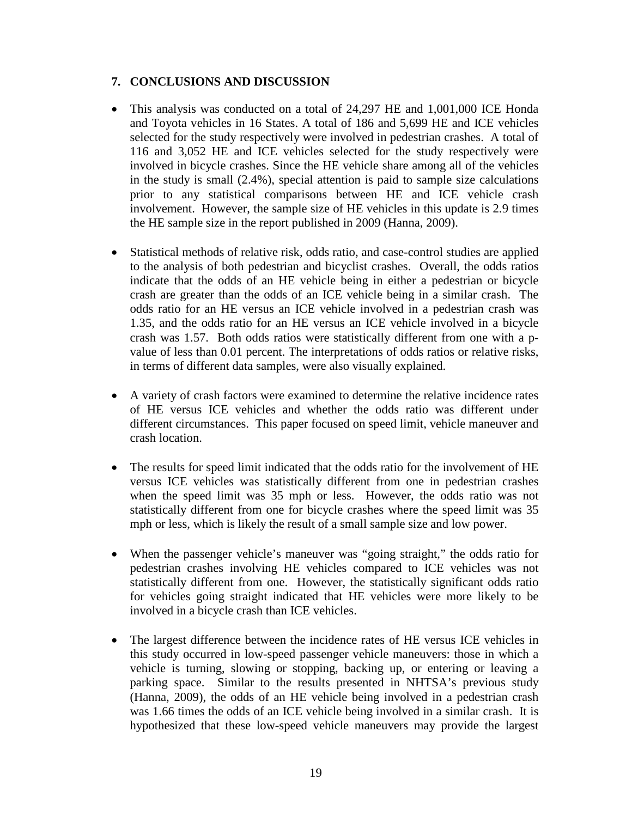#### <span id="page-24-0"></span>**7. CONCLUSIONS AND DISCUSSION**

- This analysis was conducted on a total of 24,297 HE and 1,001,000 ICE Honda and Toyota vehicles in 16 States. A total of 186 and 5,699 HE and ICE vehicles selected for the study respectively were involved in pedestrian crashes. A total of 116 and 3,052 HE and ICE vehicles selected for the study respectively were involved in bicycle crashes. Since the HE vehicle share among all of the vehicles in the study is small (2.4%), special attention is paid to sample size calculations prior to any statistical comparisons between HE and ICE vehicle crash involvement. However, the sample size of HE vehicles in this update is 2.9 times the HE sample size in the report published in 2009 (Hanna, 2009).
- Statistical methods of relative risk, odds ratio, and case-control studies are applied to the analysis of both pedestrian and bicyclist crashes. Overall, the odds ratios indicate that the odds of an HE vehicle being in either a pedestrian or bicycle crash are greater than the odds of an ICE vehicle being in a similar crash. The odds ratio for an HE versus an ICE vehicle involved in a pedestrian crash was 1.35, and the odds ratio for an HE versus an ICE vehicle involved in a bicycle crash was 1.57. Both odds ratios were statistically different from one with a pvalue of less than 0.01 percent. The interpretations of odds ratios or relative risks, in terms of different data samples, were also visually explained.
- A variety of crash factors were examined to determine the relative incidence rates of HE versus ICE vehicles and whether the odds ratio was different under different circumstances. This paper focused on speed limit, vehicle maneuver and crash location.
- The results for speed limit indicated that the odds ratio for the involvement of HE versus ICE vehicles was statistically different from one in pedestrian crashes when the speed limit was 35 mph or less. However, the odds ratio was not statistically different from one for bicycle crashes where the speed limit was 35 mph or less, which is likely the result of a small sample size and low power.
- When the passenger vehicle's maneuver was "going straight," the odds ratio for pedestrian crashes involving HE vehicles compared to ICE vehicles was not statistically different from one. However, the statistically significant odds ratio for vehicles going straight indicated that HE vehicles were more likely to be involved in a bicycle crash than ICE vehicles.
- The largest difference between the incidence rates of HE versus ICE vehicles in this study occurred in low-speed passenger vehicle maneuvers: those in which a vehicle is turning, slowing or stopping, backing up, or entering or leaving a parking space. Similar to the results presented in NHTSA's previous study (Hanna, 2009), the odds of an HE vehicle being involved in a pedestrian crash was 1.66 times the odds of an ICE vehicle being involved in a similar crash. It is hypothesized that these low-speed vehicle maneuvers may provide the largest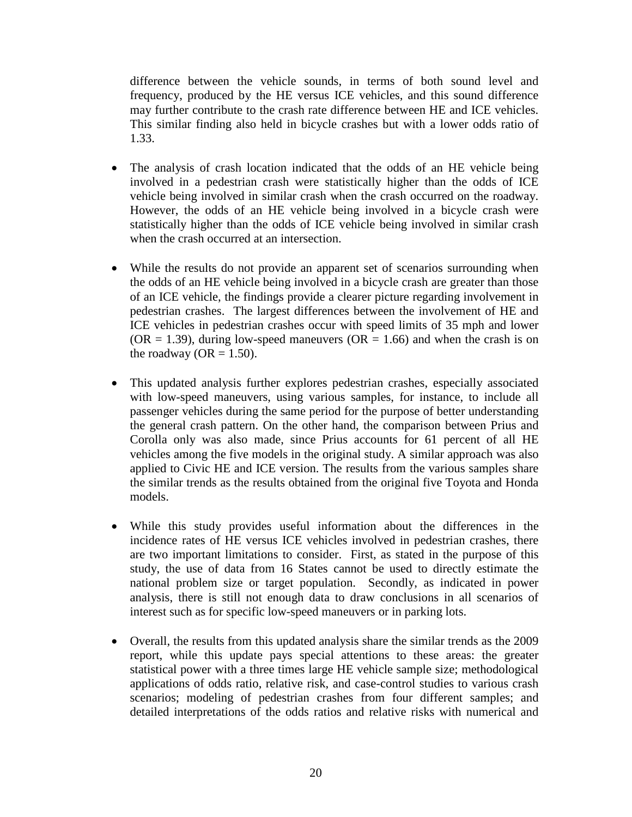difference between the vehicle sounds, in terms of both sound level and frequency, produced by the HE versus ICE vehicles, and this sound difference may further contribute to the crash rate difference between HE and ICE vehicles. This similar finding also held in bicycle crashes but with a lower odds ratio of 1.33.

- The analysis of crash location indicated that the odds of an HE vehicle being involved in a pedestrian crash were statistically higher than the odds of ICE vehicle being involved in similar crash when the crash occurred on the roadway. However, the odds of an HE vehicle being involved in a bicycle crash were statistically higher than the odds of ICE vehicle being involved in similar crash when the crash occurred at an intersection.
- While the results do not provide an apparent set of scenarios surrounding when the odds of an HE vehicle being involved in a bicycle crash are greater than those of an ICE vehicle, the findings provide a clearer picture regarding involvement in pedestrian crashes. The largest differences between the involvement of HE and ICE vehicles in pedestrian crashes occur with speed limits of 35 mph and lower  $(OR = 1.39)$ , during low-speed maneuvers  $(OR = 1.66)$  and when the crash is on the roadway ( $OR = 1.50$ ).
- This updated analysis further explores pedestrian crashes, especially associated with low-speed maneuvers, using various samples, for instance, to include all passenger vehicles during the same period for the purpose of better understanding the general crash pattern. On the other hand, the comparison between Prius and Corolla only was also made, since Prius accounts for 61 percent of all HE vehicles among the five models in the original study. A similar approach was also applied to Civic HE and ICE version. The results from the various samples share the similar trends as the results obtained from the original five Toyota and Honda models.
- While this study provides useful information about the differences in the incidence rates of HE versus ICE vehicles involved in pedestrian crashes, there are two important limitations to consider. First, as stated in the purpose of this study, the use of data from 16 States cannot be used to directly estimate the national problem size or target population. Secondly, as indicated in power analysis, there is still not enough data to draw conclusions in all scenarios of interest such as for specific low-speed maneuvers or in parking lots.
- Overall, the results from this updated analysis share the similar trends as the 2009 report, while this update pays special attentions to these areas: the greater statistical power with a three times large HE vehicle sample size; methodological applications of odds ratio, relative risk, and case-control studies to various crash scenarios; modeling of pedestrian crashes from four different samples; and detailed interpretations of the odds ratios and relative risks with numerical and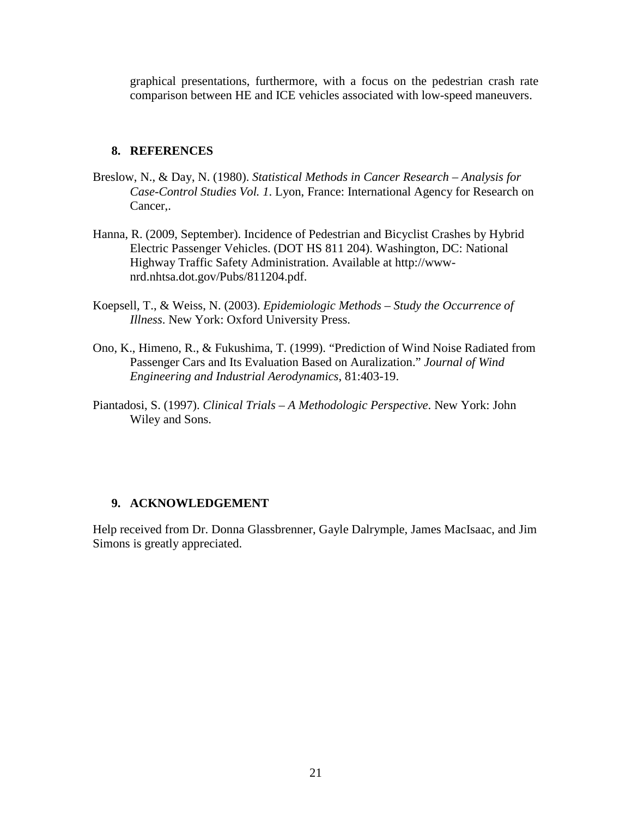graphical presentations, furthermore, with a focus on the pedestrian crash rate comparison between HE and ICE vehicles associated with low-speed maneuvers.

#### <span id="page-26-0"></span>**8. REFERENCES**

- Breslow, N., & Day, N. (1980). *Statistical Methods in Cancer Research Analysis for Case-Control Studies Vol. 1*. Lyon, France: International Agency for Research on Cancer,.
- Hanna, R. (2009, September). Incidence of Pedestrian and Bicyclist Crashes by Hybrid Electric Passenger Vehicles. (DOT HS 811 204). Washington, DC: National Highway Traffic Safety Administration. Available at http://wwwnrd.nhtsa.dot.gov/Pubs/811204.pdf.
- Koepsell, T., & Weiss, N. (2003). *Epidemiologic Methods Study the Occurrence of Illness*. New York: Oxford University Press.
- Ono, K., Himeno, R., & Fukushima, T. (1999). "Prediction of Wind Noise Radiated from Passenger Cars and Its Evaluation Based on Auralization." *Journal of Wind Engineering and Industrial Aerodynamics*, 81:403-19.
- Piantadosi, S. (1997). *Clinical Trials A Methodologic Perspective*. New York: John Wiley and Sons.

#### <span id="page-26-1"></span>**9. ACKNOWLEDGEMENT**

Help received from Dr. Donna Glassbrenner, Gayle Dalrymple, James MacIsaac, and Jim Simons is greatly appreciated.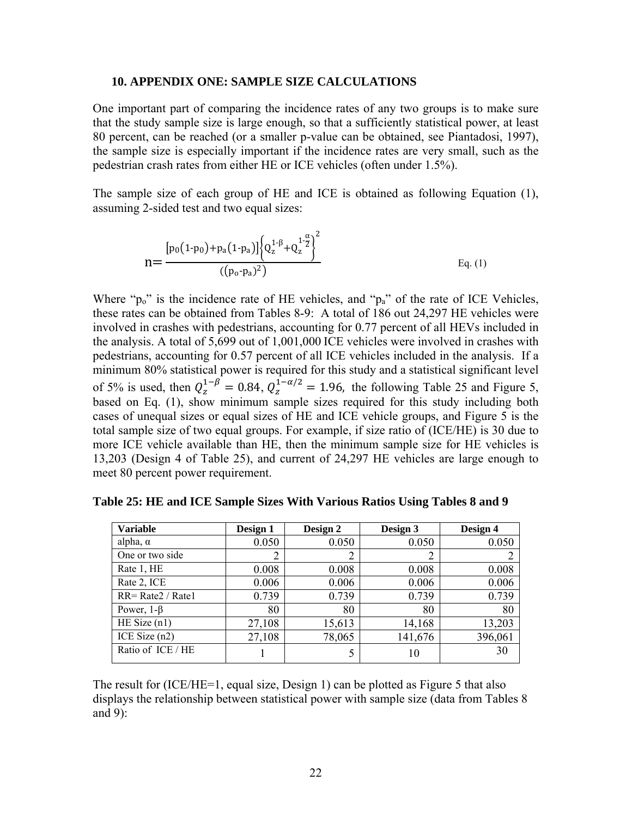#### <span id="page-27-0"></span>**10. APPENDIX ONE: SAMPLE SIZE CALCULATIONS**

One important part of comparing the incidence rates of any two groups is to make sure that the study sample size is large enough, so that a sufficiently statistical power, at least 80 percent, can be reached (or a smaller p-value can be obtained, see Piantadosi, 1997), the sample size is especially important if the incidence rates are very small, such as the pedestrian crash rates from either HE or ICE vehicles (often under 1.5%).

The sample size of each group of HE and ICE is obtained as following Equation (1), assuming 2-sided test and two equal sizes:

$$
n = \frac{\left[p_0(1-p_0) + p_a(1-p_a)\right] \left\{Q_z^{1-\beta} + Q_z^{1-\frac{\alpha}{2}}\right\}^2}{\left(\left(p_0 - p_a\right)^2\right)}
$$
 Eq. (1)

Where " $p_0$ " is the incidence rate of HE vehicles, and " $p_a$ " of the rate of ICE Vehicles, these rates can be obtained from Tables 8-9: A total of 186 out 24,297 HE vehicles were involved in crashes with pedestrians, accounting for 0.77 percent of all HEVs included in the analysis. A total of 5,699 out of 1,001,000 ICE vehicles were involved in crashes with pedestrians, accounting for 0.57 perc ent of all IC E vehicles included in the analysis. If a of 5% is used, then  $Q_z^{1-\beta} = 0.84$ ,  $Q_z^{1-\alpha/2} = 1.96$ , the following Table 25 and Figure 5, minimum 80% statistical power is required for this study and a statistical significant level based on Eq. (1), show minimum sample sizes required for this study including both cases of unequal sizes or equal sizes of HE and ICE vehicle groups, and Figure 5 is the total sample size of two equal groups. For example, if size ratio of (ICE/HE) is 30 due to more ICE vehicle available than HE, then the minimum sample size for HE vehicles is 13,203 (Design 4 of Table 25), and current of 24,297 HE vehicles are large enough to meet 80 percent power requirement.

| <b>Variable</b>      | Design 1 | Design 2 | Design 3 | Design 4 |
|----------------------|----------|----------|----------|----------|
| alpha, $\alpha$      | 0.050    | 0.050    | 0.050    | 0.050    |
| One or two side      | 2        | 2        | 2        |          |
| Rate 1, HE           | 0.008    | 0.008    | 0.008    | 0.008    |
| Rate 2, ICE          | 0.006    | 0.006    | 0.006    | 0.006    |
| $RR = Rate2 / Rate1$ | 0.739    | 0.739    | 0.739    | 0.739    |
| Power, $1-\beta$     | 80       | 80       | 80       | 80       |
| HE Size $(n1)$       | 27,108   | 15,613   | 14,168   | 13,203   |
| ICE Size $(n2)$      | 27,108   | 78,065   | 141,676  | 396,061  |
| Ratio of ICE / HE    |          |          | 10       | 30       |

<span id="page-27-1"></span>**Table 25: HE and ICE Sample Sizes With Various Ratios Using Tables 8 and 9** 

The result for (ICE/HE=1, equal size, Design 1) can be plotted as Figure 5 that also displays the relationship between statistical power with sample size (data from Tables 8 and 9):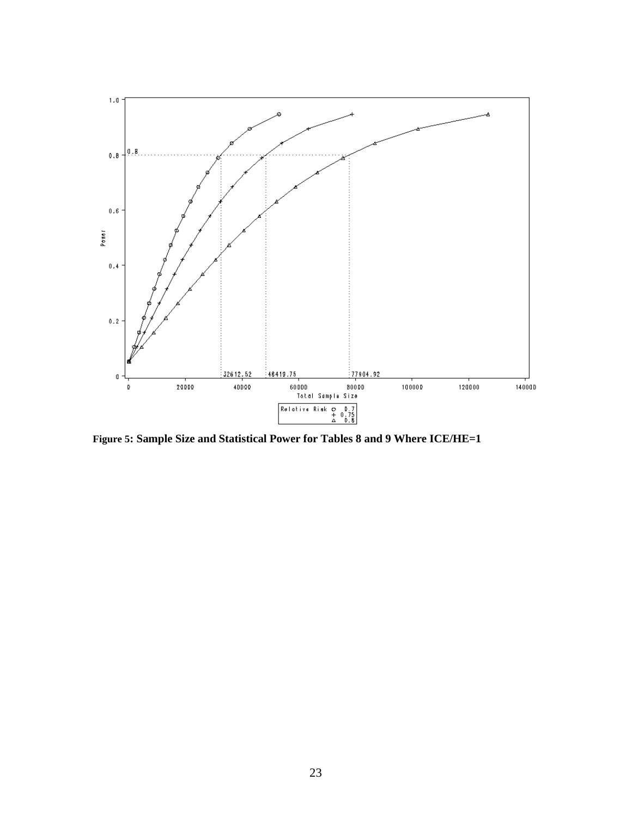

<span id="page-28-0"></span>**Figure 5: Sample Size and Statistical Power for Tables 8 and 9 Where ICE/HE=1**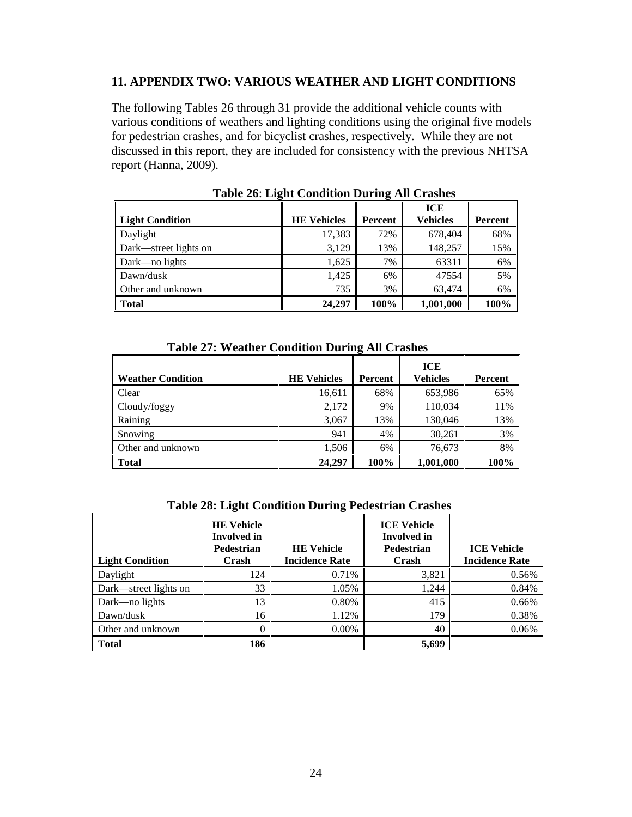#### <span id="page-29-0"></span>**11. APPENDIX TWO: VARIOUS WEATHER AND LIGHT CONDITIONS**

The following Tables 26 through 31 provide the additional vehicle counts with various conditions of weathers and lighting conditions using the original five models for pedestrian crashes, and for bicyclist crashes, respectively. While they are not discussed in this report, they are included for consistency with the previous NHTSA report (Hanna, 2009).

<span id="page-29-1"></span>

| Light Condition       | <b>HE Vehicles</b> | Percent | <b>ICE</b><br><b>Vehicles</b> | Percent |
|-----------------------|--------------------|---------|-------------------------------|---------|
| Daylight              | 17,383             | 72%     | 678,404                       | 68%     |
| Dark—street lights on | 3,129              | 13%     | 148,257                       | 15%     |
| Dark—no lights        | 1,625              | 7%      | 63311                         | 6%      |
| Dawn/dusk             | 1,425              | 6%      | 47554                         | 5%      |
| Other and unknown     | 735                | 3%      | 63,474                        | 6%      |
| <b>Total</b>          | 24,297             | 100%    | 1,001,000                     | 100%    |

**Table 26**: **Light Condition During All Crashes**

| <b>Table 27: Weather Condition During All Crashes</b> |  |  |
|-------------------------------------------------------|--|--|
|                                                       |  |  |

<span id="page-29-2"></span>

|                          |                    |         | <b>ICE</b>      |         |
|--------------------------|--------------------|---------|-----------------|---------|
| <b>Weather Condition</b> | <b>HE Vehicles</b> | Percent | <b>Vehicles</b> | Percent |
| Clear                    | 16,611             | 68%     | 653,986         | 65%     |
| Cloudy/foggy             | 2,172              | 9%      | 110,034         | 11%     |
| Raining                  | 3,067              | 13%     | 130,046         | 13%     |
| Snowing                  | 941                | 4%      | 30,261          | 3%      |
| Other and unknown        | 1,506              | 6%      | 76,673          | 8%      |
| <b>Total</b>             | 24,297             | 100%    | 1,001,000       | 100%    |

<span id="page-29-3"></span>

| <b>Light Condition</b> | <b>HE Vehicle</b><br><b>Involved</b> in<br><b>Pedestrian</b><br>Crash | <b>HE Vehicle</b><br><b>Incidence Rate</b> | <b>ICE Vehicle</b><br><b>Involved</b> in<br><b>Pedestrian</b><br>Crash | <b>ICE Vehicle</b><br><b>Incidence Rate</b> |
|------------------------|-----------------------------------------------------------------------|--------------------------------------------|------------------------------------------------------------------------|---------------------------------------------|
| Daylight               | 124                                                                   | 0.71%                                      | 3,821                                                                  | 0.56%                                       |
| Dark—street lights on  | 33                                                                    | 1.05%                                      | 1.244                                                                  | 0.84%                                       |
| Dark—no lights         | 13                                                                    | 0.80%                                      | 415                                                                    | 0.66%                                       |
| Dawn/dusk              | 16                                                                    | 1.12%                                      | 179                                                                    | 0.38%                                       |
| Other and unknown      | 0                                                                     | $0.00\%$                                   | 40                                                                     | 0.06%                                       |
| <b>Total</b>           | 186                                                                   |                                            | 5,699                                                                  |                                             |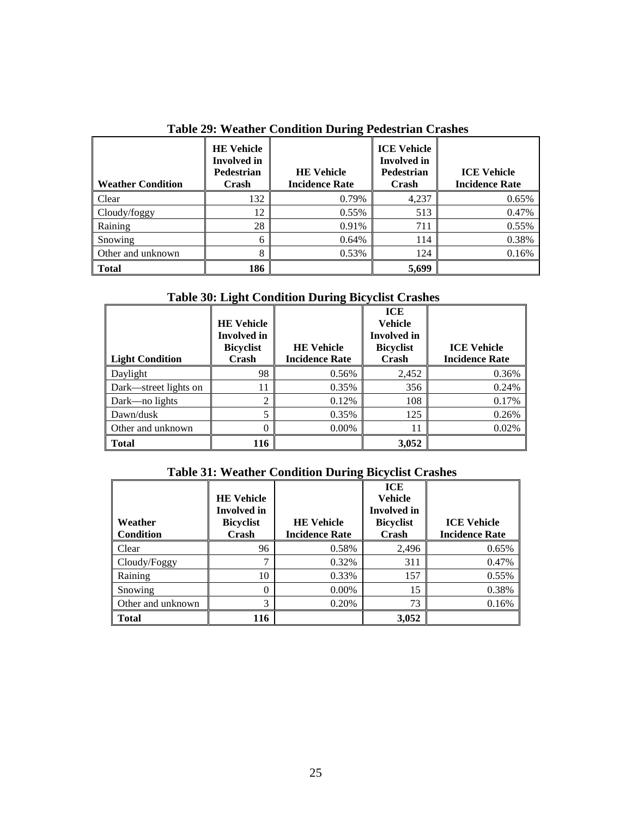<span id="page-30-0"></span>

| <b>Weather Condition</b> | <b>HE Vehicle</b><br><b>Involved</b> in<br><b>Pedestrian</b><br>Crash | <b>HE Vehicle</b><br><b>Incidence Rate</b> | <b>ICE Vehicle</b><br><b>Involved</b> in<br><b>Pedestrian</b><br>Crash | <b>ICE Vehicle</b><br><b>Incidence Rate</b> |
|--------------------------|-----------------------------------------------------------------------|--------------------------------------------|------------------------------------------------------------------------|---------------------------------------------|
| Clear                    | 132                                                                   | 0.79%                                      | 4,237                                                                  | 0.65%                                       |
| Cloudy/foggy             | 12                                                                    | 0.55%                                      | 513                                                                    | 0.47%                                       |
| Raining                  | 28                                                                    | 0.91%                                      | 711                                                                    | 0.55%                                       |
| Snowing                  | 6                                                                     | 0.64%                                      | 114                                                                    | 0.38%                                       |
| Other and unknown        | 8                                                                     | 0.53%                                      | 124                                                                    | 0.16%                                       |
| <b>Total</b>             | 186                                                                   |                                            | 5,699                                                                  |                                             |

**Table 29: Weather Condition During Pedestrian Crashes**

# **Table 30: Light Condition During Bicyclist Crashes**

<span id="page-30-1"></span>

| <b>Light Condition</b> | <b>HE Vehicle</b><br><b>Involved</b> in<br><b>Bicyclist</b><br>Crash | <b>HE Vehicle</b><br><b>Incidence Rate</b> | ICE<br><b>Vehicle</b><br><b>Involved</b> in<br><b>Bicyclist</b><br>Crash | <b>ICE Vehicle</b><br><b>Incidence Rate</b> |
|------------------------|----------------------------------------------------------------------|--------------------------------------------|--------------------------------------------------------------------------|---------------------------------------------|
| Daylight               | 98                                                                   | 0.56%                                      | 2,452                                                                    | 0.36%                                       |
| Dark—street lights on  | 11                                                                   | 0.35%                                      | 356                                                                      | 0.24%                                       |
| Dark—no lights         | 2                                                                    | 0.12%                                      | 108                                                                      | 0.17%                                       |
| Dawn/dusk              | 5                                                                    | 0.35%                                      | 125                                                                      | 0.26%                                       |
| Other and unknown      | 0                                                                    | $0.00\%$                                   | 11                                                                       | 0.02%                                       |
| <b>Total</b>           | 116                                                                  |                                            | 3,052                                                                    |                                             |

# **Table 31: Weather Condition During Bicyclist Crashes**

<span id="page-30-2"></span>

| Weather<br><b>Condition</b> | <b>HE</b> Vehicle<br><b>Involved</b> in<br><b>Bicyclist</b><br>Crash | <b>HE</b> Vehicle<br><b>Incidence Rate</b> | <b>ICE</b><br><b>Vehicle</b><br><b>Involved</b> in<br><b>Bicyclist</b><br>Crash | <b>ICE Vehicle</b><br><b>Incidence Rate</b> |
|-----------------------------|----------------------------------------------------------------------|--------------------------------------------|---------------------------------------------------------------------------------|---------------------------------------------|
| Clear                       | 96                                                                   | 0.58%                                      | 2,496                                                                           | 0.65%                                       |
| Cloudy/Foggy                | ¬                                                                    | 0.32%                                      | 311                                                                             | 0.47%                                       |
| Raining                     | 10                                                                   | 0.33%                                      | 157                                                                             | 0.55%                                       |
| Snowing                     | 0                                                                    | $0.00\%$                                   | 15                                                                              | 0.38%                                       |
| Other and unknown           | 3                                                                    | 0.20%                                      | 73                                                                              | 0.16%                                       |
| Total                       | 116                                                                  |                                            | 3,052                                                                           |                                             |